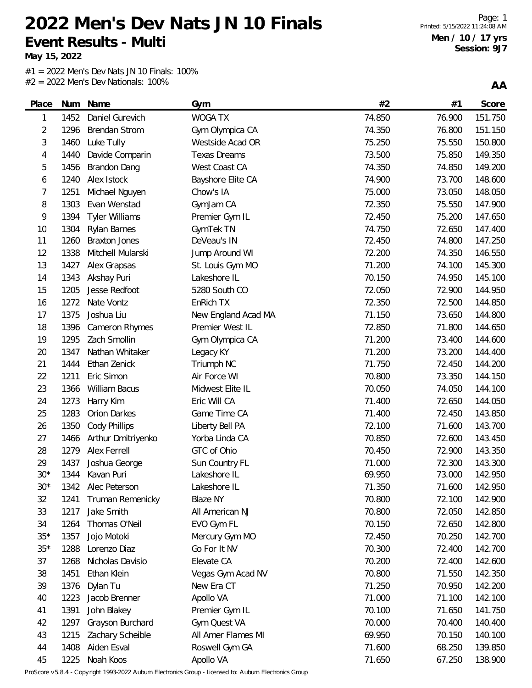**May 15, 2022**

#1 = 2022 Men's Dev Nats JN 10 Finals: 100% #2 = 2022 Men's Dev Nationals: 100%

**AA**

| Place | Num  | Name                  | Gym                 | #2     | #1     | Score   |
|-------|------|-----------------------|---------------------|--------|--------|---------|
| 1     | 1452 | Daniel Gurevich       | <b>WOGA TX</b>      | 74.850 | 76.900 | 151.750 |
| 2     | 1296 | <b>Brendan Strom</b>  | Gym Olympica CA     | 74.350 | 76.800 | 151.150 |
| 3     | 1460 | Luke Tully            | Westside Acad OR    | 75.250 | 75.550 | 150.800 |
| 4     | 1440 | Davide Comparin       | <b>Texas Dreams</b> | 73.500 | 75.850 | 149.350 |
| 5     | 1456 | Brandon Dang          | West Coast CA       | 74.350 | 74.850 | 149.200 |
| 6     | 1240 | Alex Istock           | Bayshore Elite CA   | 74.900 | 73.700 | 148.600 |
| 7     | 1251 | Michael Nguyen        | Chow's IA           | 75.000 | 73.050 | 148.050 |
| 8     | 1303 | Evan Wenstad          | GymJam CA           | 72.350 | 75.550 | 147.900 |
| 9     | 1394 | <b>Tyler Williams</b> | Premier Gym IL      | 72.450 | 75.200 | 147.650 |
| 10    | 1304 | Rylan Barnes          | GymTek TN           | 74.750 | 72.650 | 147.400 |
| 11    | 1260 | <b>Braxton Jones</b>  | DeVeau's IN         | 72.450 | 74.800 | 147.250 |
| 12    | 1338 | Mitchell Mularski     | Jump Around WI      | 72.200 | 74.350 | 146.550 |
| 13    | 1427 | Alex Grapsas          | St. Louis Gym MO    | 71.200 | 74.100 | 145.300 |
| 14    | 1343 | Akshay Puri           | Lakeshore IL        | 70.150 | 74.950 | 145.100 |
| 15    | 1205 | Jesse Redfoot         | 5280 South CO       | 72.050 | 72.900 | 144.950 |
| 16    | 1272 | Nate Vontz            | EnRich TX           | 72.350 | 72.500 | 144.850 |
| 17    | 1375 | Joshua Liu            | New England Acad MA | 71.150 | 73.650 | 144.800 |
| 18    | 1396 | Cameron Rhymes        | Premier West IL     | 72.850 | 71.800 | 144.650 |
| 19    | 1295 | Zach Smollin          | Gym Olympica CA     | 71.200 | 73.400 | 144.600 |
| 20    | 1347 | Nathan Whitaker       | Legacy KY           | 71.200 | 73.200 | 144.400 |
| 21    | 1444 | Ethan Zenick          | Triumph NC          | 71.750 | 72.450 | 144.200 |
| 22    | 1211 | Eric Simon            | Air Force WI        | 70.800 | 73.350 | 144.150 |
| 23    | 1366 | William Bacus         | Midwest Elite IL    | 70.050 | 74.050 | 144.100 |
| 24    | 1273 | Harry Kim             | Eric Will CA        | 71.400 | 72.650 | 144.050 |
| 25    | 1283 | Orion Darkes          | Game Time CA        | 71.400 | 72.450 | 143.850 |
| 26    | 1350 | <b>Cody Phillips</b>  | Liberty Bell PA     | 72.100 | 71.600 | 143.700 |
| 27    | 1466 | Arthur Dmitriyenko    | Yorba Linda CA      | 70.850 | 72.600 | 143.450 |
| 28    | 1279 | Alex Ferrell          | GTC of Ohio         | 70.450 | 72.900 | 143.350 |
| 29    | 1437 | Joshua George         | Sun Country FL      | 71.000 | 72.300 | 143.300 |
| $30*$ | 1344 | Kavan Puri            | Lakeshore IL        | 69.950 | 73.000 | 142.950 |
| $30*$ |      | 1342 Alec Peterson    | Lakeshore IL        | 71.350 | 71.600 | 142.950 |
| 32    | 1241 | Truman Remenicky      | <b>Blaze NY</b>     | 70.800 | 72.100 | 142.900 |
| 33    | 1217 | Jake Smith            | All American NJ     | 70.800 | 72.050 | 142.850 |
| 34    | 1264 | Thomas O'Neil         | EVO Gym FL          | 70.150 | 72.650 | 142.800 |
| $35*$ | 1357 | Jojo Motoki           | Mercury Gym MO      | 72.450 | 70.250 | 142.700 |
| $35*$ | 1288 | Lorenzo Diaz          | Go For It NV        | 70.300 | 72.400 | 142.700 |
| 37    | 1268 | Nicholas Davisio      | Elevate CA          | 70.200 | 72.400 | 142.600 |
| 38    | 1451 | Ethan Klein           | Vegas Gym Acad NV   | 70.800 | 71.550 | 142.350 |
| 39    | 1376 | Dylan Tu              | New Era CT          | 71.250 | 70.950 | 142.200 |
| 40    | 1223 | Jacob Brenner         | Apollo VA           | 71.000 | 71.100 | 142.100 |
| 41    | 1391 | John Blakey           | Premier Gym IL      | 70.100 | 71.650 | 141.750 |
| 42    | 1297 | Grayson Burchard      | Gym Quest VA        | 70.000 | 70.400 | 140.400 |
| 43    | 1215 | Zachary Scheible      | All Amer Flames MI  | 69.950 | 70.150 | 140.100 |
| 44    | 1408 | Aiden Esval           | Roswell Gym GA      | 71.600 | 68.250 | 139.850 |

1225 Noah Koos Apollo VA 71.650 67.250 138.900

ProScore v5.8.4 - Copyright 1993-2022 Auburn Electronics Group - Licensed to: Auburn Electronics Group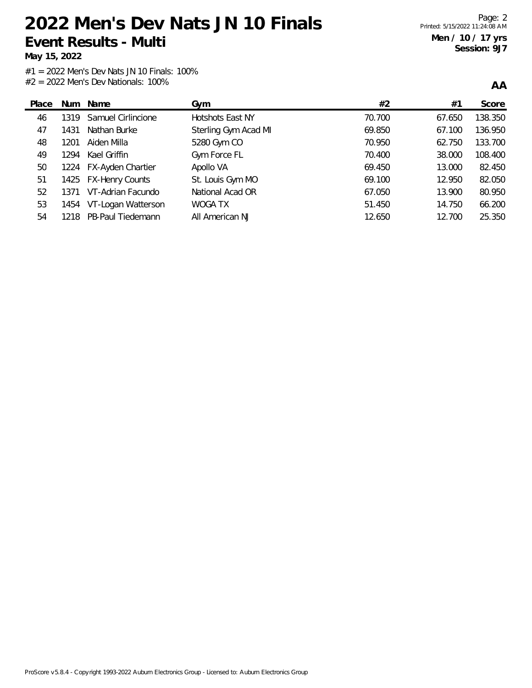**May 15, 2022**

**AA**

| Place | Num   | Name                   | Gym                  | #2     | #1     | Score   |
|-------|-------|------------------------|----------------------|--------|--------|---------|
| 46    | 1319  | Samuel Cirlincione     | Hotshots East NY     | 70.700 | 67.650 | 138.350 |
| 47    | 1431  | Nathan Burke           | Sterling Gym Acad MI | 69.850 | 67.100 | 136.950 |
| 48    | 1201  | Aiden Milla            | 5280 Gym CO          | 70.950 | 62.750 | 133.700 |
| 49    | 1294  | Kael Griffin           | Gym Force FL         | 70.400 | 38.000 | 108.400 |
| 50    |       | 1224 FX-Ayden Chartier | Apollo VA            | 69.450 | 13.000 | 82.450  |
| 51    |       | 1425 FX-Henry Counts   | St. Louis Gym MO     | 69.100 | 12.950 | 82.050  |
| 52    | 1371  | VT-Adrian Facundo      | National Acad OR     | 67.050 | 13.900 | 80.950  |
| 53    | 1454  | VT-Logan Watterson     | WOGA TX              | 51.450 | 14.750 | 66.200  |
| 54    | 1218. | PB-Paul Tiedemann      | All American NJ      | 12.650 | 12.700 | 25.350  |
|       |       |                        |                      |        |        |         |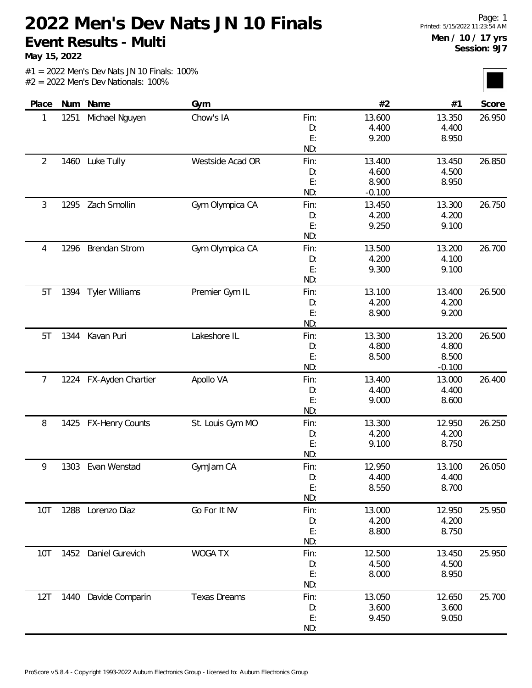**May 15, 2022**

|  |  |  | $#1 = 2022$ Men's Dev Nats JN 10 Finals: 100% |  |
|--|--|--|-----------------------------------------------|--|
|  |  |  | $#2 = 2022$ Men's Dev Nationals: 100%         |  |

| Place          | Num  | Name                   | Gym                 |      | #2       | #1       | Score  |
|----------------|------|------------------------|---------------------|------|----------|----------|--------|
| 1              | 1251 | Michael Nguyen         | Chow's IA           | Fin: | 13.600   | 13.350   | 26.950 |
|                |      |                        |                     | D:   | 4.400    | 4.400    |        |
|                |      |                        |                     | E:   | 9.200    | 8.950    |        |
|                |      |                        |                     | ND:  |          |          |        |
| $\overline{2}$ | 1460 | Luke Tully             | Westside Acad OR    | Fin: | 13.400   | 13.450   | 26.850 |
|                |      |                        |                     | D:   | 4.600    | 4.500    |        |
|                |      |                        |                     | E:   | 8.900    | 8.950    |        |
|                |      |                        |                     | ND:  | $-0.100$ |          |        |
| 3              | 1295 | Zach Smollin           | Gym Olympica CA     | Fin: | 13.450   | 13.300   | 26.750 |
|                |      |                        |                     | D:   | 4.200    | 4.200    |        |
|                |      |                        |                     | E:   | 9.250    | 9.100    |        |
|                |      |                        |                     | ND:  |          |          |        |
| 4              | 1296 | <b>Brendan Strom</b>   | Gym Olympica CA     | Fin: | 13.500   | 13.200   | 26.700 |
|                |      |                        |                     | D:   | 4.200    | 4.100    |        |
|                |      |                        |                     | E:   | 9.300    | 9.100    |        |
|                |      |                        |                     | ND:  |          |          |        |
| 5T             | 1394 | Tyler Williams         | Premier Gym IL      | Fin: | 13.100   | 13.400   | 26.500 |
|                |      |                        |                     | D:   | 4.200    | 4.200    |        |
|                |      |                        |                     | E:   | 8.900    | 9.200    |        |
|                |      |                        |                     | ND:  |          |          |        |
| 5T             | 1344 | Kavan Puri             | Lakeshore IL        | Fin: | 13.300   | 13.200   | 26.500 |
|                |      |                        |                     | D:   | 4.800    | 4.800    |        |
|                |      |                        |                     | E:   | 8.500    | 8.500    |        |
|                |      |                        |                     | ND:  |          | $-0.100$ |        |
| 7              | 1224 | FX-Ayden Chartier      | Apollo VA           | Fin: | 13.400   | 13.000   | 26.400 |
|                |      |                        |                     | D:   | 4.400    | 4.400    |        |
|                |      |                        |                     | E:   | 9.000    | 8.600    |        |
|                |      |                        |                     | ND:  |          |          |        |
| 8              | 1425 | <b>FX-Henry Counts</b> | St. Louis Gym MO    | Fin: | 13.300   | 12.950   | 26.250 |
|                |      |                        |                     | D:   | 4.200    | 4.200    |        |
|                |      |                        |                     | E:   | 9.100    | 8.750    |        |
|                |      |                        |                     | ND:  |          |          |        |
| 9              |      | 1303 Evan Wenstad      | GymJam CA           | Fin: | 12.950   | 13.100   | 26.050 |
|                |      |                        |                     | D:   | 4.400    | 4.400    |        |
|                |      |                        |                     | E:   | 8.550    | 8.700    |        |
|                |      |                        |                     | ND:  |          |          |        |
| 10T            |      | 1288 Lorenzo Diaz      | Go For It NV        | Fin: | 13.000   | 12.950   | 25.950 |
|                |      |                        |                     | D:   | 4.200    | 4.200    |        |
|                |      |                        |                     | E:   | 8.800    | 8.750    |        |
|                |      |                        |                     | ND:  |          |          |        |
| 10T            |      | 1452 Daniel Gurevich   | <b>WOGA TX</b>      | Fin: | 12.500   | 13.450   | 25.950 |
|                |      |                        |                     | D:   | 4.500    | 4.500    |        |
|                |      |                        |                     | E:   | 8.000    | 8.950    |        |
|                |      |                        |                     | ND:  |          |          |        |
| 12T            |      | 1440 Davide Comparin   | <b>Texas Dreams</b> | Fin: | 13.050   | 12.650   | 25.700 |
|                |      |                        |                     | D:   | 3.600    | 3.600    |        |
|                |      |                        |                     | E:   | 9.450    | 9.050    |        |
|                |      |                        |                     | ND:  |          |          |        |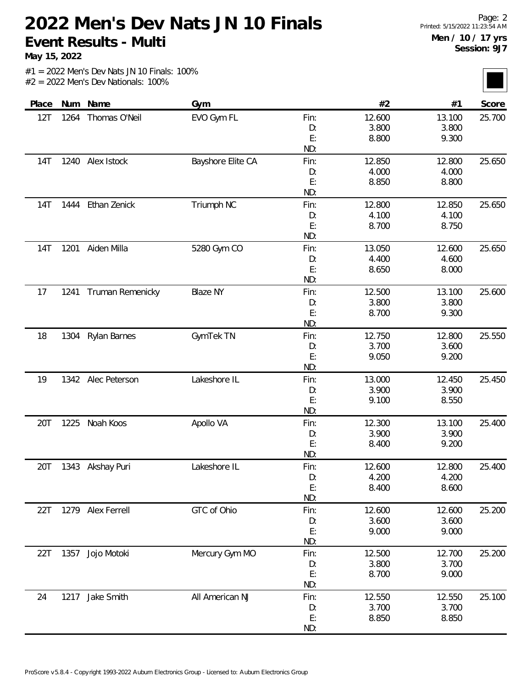**May 15, 2022**

| Place |      | Num Name            | Gym               |      | #2     | #1     | Score  |
|-------|------|---------------------|-------------------|------|--------|--------|--------|
| 12T   | 1264 | Thomas O'Neil       | EVO Gym FL        | Fin: | 12.600 | 13.100 | 25.700 |
|       |      |                     |                   | D:   | 3.800  | 3.800  |        |
|       |      |                     |                   | E:   | 8.800  | 9.300  |        |
|       |      |                     |                   | ND:  |        |        |        |
| 14T   | 1240 | Alex Istock         | Bayshore Elite CA | Fin: | 12.850 | 12.800 | 25.650 |
|       |      |                     |                   | D:   | 4.000  | 4.000  |        |
|       |      |                     |                   | E:   | 8.850  | 8.800  |        |
|       |      |                     |                   | ND:  |        |        |        |
| 14T   | 1444 | Ethan Zenick        | Triumph NC        | Fin: | 12.800 | 12.850 | 25.650 |
|       |      |                     |                   | D:   | 4.100  | 4.100  |        |
|       |      |                     |                   | E:   | 8.700  | 8.750  |        |
|       |      |                     |                   | ND:  |        |        |        |
| 14T   | 1201 | Aiden Milla         | 5280 Gym CO       | Fin: | 13.050 | 12.600 | 25.650 |
|       |      |                     |                   | D:   | 4.400  | 4.600  |        |
|       |      |                     |                   | E:   | 8.650  | 8.000  |        |
|       |      |                     |                   | ND:  |        |        |        |
| 17    | 1241 | Truman Remenicky    | <b>Blaze NY</b>   | Fin: | 12.500 | 13.100 | 25.600 |
|       |      |                     |                   | D:   | 3.800  | 3.800  |        |
|       |      |                     |                   | E:   | 8.700  | 9.300  |        |
|       |      |                     |                   | ND:  |        |        |        |
| 18    | 1304 | <b>Rylan Barnes</b> | GymTek TN         | Fin: | 12.750 | 12.800 | 25.550 |
|       |      |                     |                   | D:   | 3.700  | 3.600  |        |
|       |      |                     |                   | E:   | 9.050  | 9.200  |        |
|       |      |                     |                   | ND:  |        |        |        |
| 19    | 1342 | Alec Peterson       | Lakeshore IL      | Fin: | 13.000 | 12.450 | 25.450 |
|       |      |                     |                   | D:   | 3.900  | 3.900  |        |
|       |      |                     |                   | E:   | 9.100  | 8.550  |        |
|       |      |                     |                   | ND:  |        |        |        |
| 20T   | 1225 | Noah Koos           | Apollo VA         | Fin: | 12.300 | 13.100 | 25.400 |
|       |      |                     |                   | D:   | 3.900  | 3.900  |        |
|       |      |                     |                   | E:   | 8.400  | 9.200  |        |
|       |      |                     |                   | ND:  |        |        |        |
| 20T   |      | 1343 Akshay Puri    | Lakeshore IL      | Fin: | 12.600 | 12.800 | 25.400 |
|       |      |                     |                   | D:   | 4.200  | 4.200  |        |
|       |      |                     |                   | E:   | 8.400  | 8.600  |        |
|       |      |                     |                   | ND:  |        |        |        |
| 22T   |      | 1279 Alex Ferrell   | GTC of Ohio       | Fin: | 12.600 | 12.600 | 25.200 |
|       |      |                     |                   | D:   | 3.600  | 3.600  |        |
|       |      |                     |                   | E:   | 9.000  | 9.000  |        |
|       |      |                     |                   | ND:  |        |        |        |
| 22T   |      | 1357 Jojo Motoki    | Mercury Gym MO    | Fin: | 12.500 | 12.700 | 25.200 |
|       |      |                     |                   | D:   | 3.800  | 3.700  |        |
|       |      |                     |                   | E:   | 8.700  | 9.000  |        |
|       |      |                     |                   | ND:  |        |        |        |
| 24    |      | 1217 Jake Smith     | All American NJ   | Fin: | 12.550 | 12.550 | 25.100 |
|       |      |                     |                   | D:   | 3.700  | 3.700  |        |
|       |      |                     |                   | E:   | 8.850  | 8.850  |        |
|       |      |                     |                   | ND:  |        |        |        |
|       |      |                     |                   |      |        |        |        |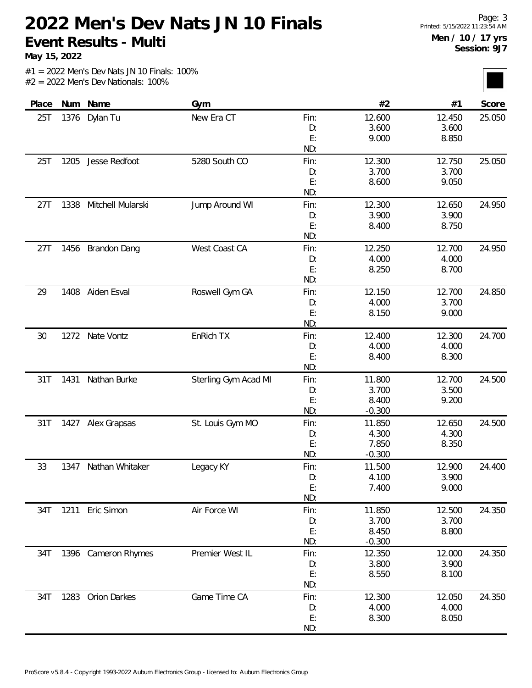**May 15, 2022**

| Place |      | Num Name            | Gym                  |      | #2       | #1     | Score  |
|-------|------|---------------------|----------------------|------|----------|--------|--------|
| 25T   | 1376 | Dylan Tu            | New Era CT           | Fin: | 12.600   | 12.450 | 25.050 |
|       |      |                     |                      | D:   | 3.600    | 3.600  |        |
|       |      |                     |                      | E:   | 9.000    | 8.850  |        |
|       |      |                     |                      | ND:  |          |        |        |
| 25T   | 1205 | Jesse Redfoot       | 5280 South CO        | Fin: | 12.300   | 12.750 | 25.050 |
|       |      |                     |                      | D:   | 3.700    | 3.700  |        |
|       |      |                     |                      | E:   | 8.600    | 9.050  |        |
|       |      |                     |                      | ND:  |          |        |        |
| 27T   | 1338 | Mitchell Mularski   | Jump Around WI       | Fin: | 12.300   | 12.650 | 24.950 |
|       |      |                     |                      | D:   | 3.900    | 3.900  |        |
|       |      |                     |                      | E:   | 8.400    | 8.750  |        |
|       |      |                     |                      | ND:  |          |        |        |
| 27T   | 1456 | <b>Brandon Dang</b> | West Coast CA        | Fin: | 12.250   | 12.700 | 24.950 |
|       |      |                     |                      | D:   | 4.000    | 4.000  |        |
|       |      |                     |                      | E:   | 8.250    | 8.700  |        |
|       |      |                     |                      | ND:  |          |        |        |
| 29    | 1408 | Aiden Esval         | Roswell Gym GA       | Fin: | 12.150   | 12.700 | 24.850 |
|       |      |                     |                      | D:   | 4.000    | 3.700  |        |
|       |      |                     |                      | E:   | 8.150    | 9.000  |        |
|       |      |                     |                      | ND:  |          |        |        |
| 30    | 1272 | Nate Vontz          | EnRich TX            | Fin: | 12.400   | 12.300 | 24.700 |
|       |      |                     |                      | D:   | 4.000    | 4.000  |        |
|       |      |                     |                      | E:   | 8.400    | 8.300  |        |
|       |      |                     |                      | ND:  |          |        |        |
| 31T   | 1431 | Nathan Burke        | Sterling Gym Acad MI | Fin: | 11.800   | 12.700 | 24.500 |
|       |      |                     |                      | D:   | 3.700    | 3.500  |        |
|       |      |                     |                      | E:   | 8.400    | 9.200  |        |
|       |      |                     |                      | ND:  | $-0.300$ |        |        |
| 31T   |      | 1427 Alex Grapsas   | St. Louis Gym MO     | Fin: | 11.850   | 12.650 | 24.500 |
|       |      |                     |                      | D:   | 4.300    | 4.300  |        |
|       |      |                     |                      | E:   | 7.850    | 8.350  |        |
|       |      |                     |                      | ND:  | $-0.300$ |        |        |
| 33    | 1347 | Nathan Whitaker     | Legacy KY            | Fin: | 11.500   | 12.900 | 24.400 |
|       |      |                     |                      | D:   | 4.100    | 3.900  |        |
|       |      |                     |                      | E:   | 7.400    | 9.000  |        |
|       |      |                     |                      | ND:  |          |        |        |
| 34T   |      | 1211 Eric Simon     | Air Force WI         | Fin: | 11.850   | 12.500 | 24.350 |
|       |      |                     |                      | D:   | 3.700    | 3.700  |        |
|       |      |                     |                      | E:   | 8.450    | 8.800  |        |
|       |      |                     |                      | ND:  | $-0.300$ |        |        |
| 34T   |      | 1396 Cameron Rhymes | Premier West IL      | Fin: | 12.350   | 12.000 | 24.350 |
|       |      |                     |                      | D:   | 3.800    | 3.900  |        |
|       |      |                     |                      | E:   | 8.550    | 8.100  |        |
|       |      |                     |                      | ND:  |          |        |        |
| 34T   | 1283 | Orion Darkes        | Game Time CA         | Fin: | 12.300   | 12.050 | 24.350 |
|       |      |                     |                      | D:   | 4.000    | 4.000  |        |
|       |      |                     |                      | E:   | 8.300    | 8.050  |        |
|       |      |                     |                      | ND:  |          |        |        |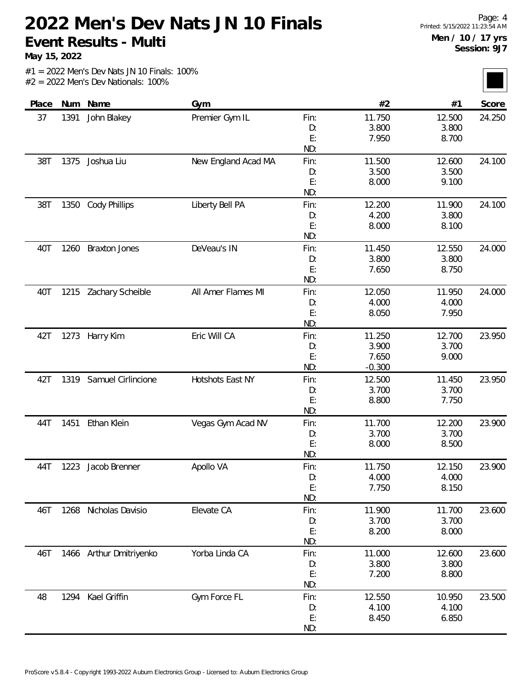**May 15, 2022**

| Place |      | Num Name                | Gym                 |      | #2       | #1     | Score  |
|-------|------|-------------------------|---------------------|------|----------|--------|--------|
| 37    | 1391 | John Blakey             | Premier Gym IL      | Fin: | 11.750   | 12.500 | 24.250 |
|       |      |                         |                     | D:   | 3.800    | 3.800  |        |
|       |      |                         |                     | E:   | 7.950    | 8.700  |        |
|       |      |                         |                     | ND:  |          |        |        |
| 38T   | 1375 | Joshua Liu              | New England Acad MA | Fin: | 11.500   | 12.600 | 24.100 |
|       |      |                         |                     | D:   | 3.500    | 3.500  |        |
|       |      |                         |                     | E:   | 8.000    | 9.100  |        |
|       |      |                         |                     | ND:  |          |        |        |
| 38T   | 1350 | <b>Cody Phillips</b>    | Liberty Bell PA     | Fin: | 12.200   | 11.900 | 24.100 |
|       |      |                         |                     | D:   | 4.200    | 3.800  |        |
|       |      |                         |                     | E:   | 8.000    | 8.100  |        |
|       |      |                         |                     | ND:  |          |        |        |
| 40T   | 1260 | <b>Braxton Jones</b>    | DeVeau's IN         | Fin: | 11.450   | 12.550 | 24.000 |
|       |      |                         |                     | D:   | 3.800    | 3.800  |        |
|       |      |                         |                     | E:   | 7.650    | 8.750  |        |
|       |      |                         |                     | ND:  |          |        |        |
| 40T   |      | 1215 Zachary Scheible   | All Amer Flames MI  | Fin: | 12.050   | 11.950 | 24.000 |
|       |      |                         |                     | D:   | 4.000    | 4.000  |        |
|       |      |                         |                     | E:   | 8.050    | 7.950  |        |
|       |      |                         |                     | ND:  |          |        |        |
| 42T   | 1273 | Harry Kim               | Eric Will CA        | Fin: | 11.250   | 12.700 | 23.950 |
|       |      |                         |                     | D:   | 3.900    | 3.700  |        |
|       |      |                         |                     | E:   | 7.650    | 9.000  |        |
|       |      |                         |                     | ND:  | $-0.300$ |        |        |
| 42T   | 1319 | Samuel Cirlincione      | Hotshots East NY    | Fin: | 12.500   | 11.450 | 23.950 |
|       |      |                         |                     | D:   | 3.700    | 3.700  |        |
|       |      |                         |                     | E:   | 8.800    | 7.750  |        |
|       |      |                         |                     | ND:  |          |        |        |
| 44T   | 1451 | Ethan Klein             | Vegas Gym Acad NV   | Fin: | 11.700   | 12.200 | 23.900 |
|       |      |                         |                     | D:   | 3.700    | 3.700  |        |
|       |      |                         |                     | E:   | 8.000    | 8.500  |        |
|       |      |                         |                     | ND:  |          |        |        |
| 44T   | 1223 | Jacob Brenner           | Apollo VA           | Fin: | 11.750   | 12.150 | 23.900 |
|       |      |                         |                     | D:   | 4.000    | 4.000  |        |
|       |      |                         |                     | E:   | 7.750    | 8.150  |        |
|       |      |                         |                     | ND:  |          |        |        |
| 46T   | 1268 | Nicholas Davisio        | Elevate CA          | Fin: | 11.900   | 11.700 | 23.600 |
|       |      |                         |                     | D:   | 3.700    | 3.700  |        |
|       |      |                         |                     | E:   | 8.200    | 8.000  |        |
|       |      |                         |                     | ND:  |          |        |        |
| 46T   |      | 1466 Arthur Dmitriyenko | Yorba Linda CA      | Fin: | 11.000   | 12.600 | 23.600 |
|       |      |                         |                     | D:   | 3.800    | 3.800  |        |
|       |      |                         |                     | E:   | 7.200    | 8.800  |        |
|       |      |                         |                     | ND:  |          |        |        |
| 48    | 1294 | Kael Griffin            | Gym Force FL        | Fin: | 12.550   | 10.950 | 23.500 |
|       |      |                         |                     | D:   | 4.100    | 4.100  |        |
|       |      |                         |                     | E:   | 8.450    | 6.850  |        |
|       |      |                         |                     | ND:  |          |        |        |
|       |      |                         |                     |      |          |        |        |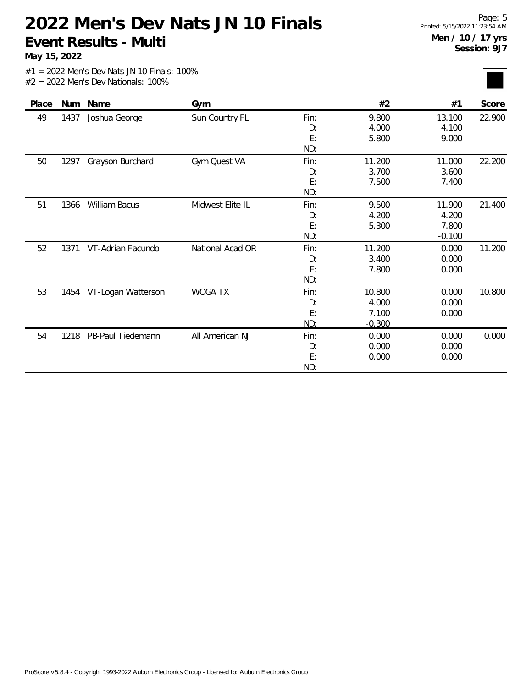**May 15, 2022**

| Score            |
|------------------|
| 22.900<br>22.200 |
|                  |
|                  |
|                  |
|                  |
|                  |
|                  |
|                  |
|                  |
| 21.400           |
|                  |
|                  |
|                  |
| 11.200           |
|                  |
|                  |
|                  |
| 10.800           |
|                  |
|                  |
|                  |
| 0.000            |
|                  |
|                  |
|                  |
|                  |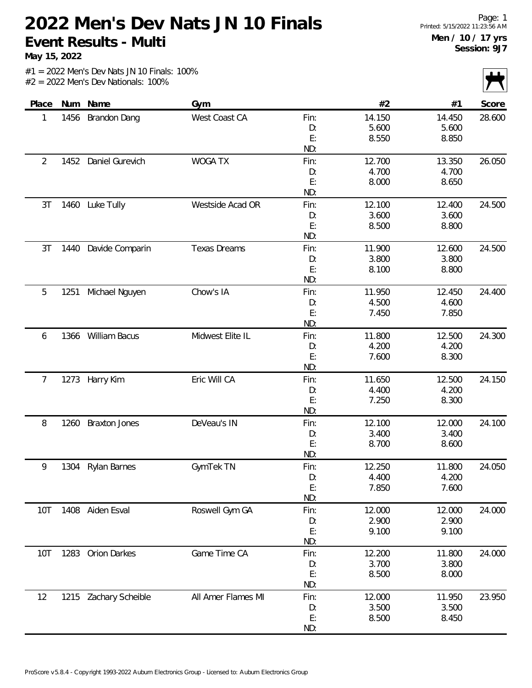**May 15, 2022**

|            |      |                       |                     |           |                |                | $\mathbf{r}$<br>$\mathbf{v}$ |
|------------|------|-----------------------|---------------------|-----------|----------------|----------------|------------------------------|
| Place      | Num  | Name                  | Gym                 |           | #2             | #1             | Score                        |
| 1          | 1456 | Brandon Dang          | West Coast CA       | Fin:      | 14.150         | 14.450         | 28.600                       |
|            |      |                       |                     | D:        | 5.600          | 5.600          |                              |
|            |      |                       |                     | E:        | 8.550          | 8.850          |                              |
|            |      |                       |                     | ND:       |                |                |                              |
| 2          | 1452 | Daniel Gurevich       | <b>WOGA TX</b>      | Fin:      | 12.700         | 13.350         | 26.050                       |
|            |      |                       |                     | D:        | 4.700          | 4.700          |                              |
|            |      |                       |                     | E:        | 8.000          | 8.650          |                              |
|            |      |                       |                     | ND:       |                |                |                              |
| 3T         | 1460 | Luke Tully            | Westside Acad OR    | Fin:      | 12.100         | 12.400         | 24.500                       |
|            |      |                       |                     | D:        | 3.600          | 3.600          |                              |
|            |      |                       |                     | E:        | 8.500          | 8.800          |                              |
|            |      |                       |                     | ND:       |                |                |                              |
| 3T         | 1440 | Davide Comparin       | <b>Texas Dreams</b> | Fin:      | 11.900         | 12.600         | 24.500                       |
|            |      |                       |                     | D:        | 3.800          | 3.800          |                              |
|            |      |                       |                     | E:<br>ND: | 8.100          | 8.800          |                              |
|            |      |                       |                     |           |                |                |                              |
| 5          | 1251 | Michael Nguyen        | Chow's IA           | Fin:      | 11.950         | 12.450         | 24.400                       |
|            |      |                       |                     | D:<br>E:  | 4.500<br>7.450 | 4.600<br>7.850 |                              |
|            |      |                       |                     | ND:       |                |                |                              |
|            | 1366 | William Bacus         | Midwest Elite IL    | Fin:      | 11.800         | 12.500         | 24.300                       |
| 6          |      |                       |                     | D:        | 4.200          | 4.200          |                              |
|            |      |                       |                     | E:        | 7.600          | 8.300          |                              |
|            |      |                       |                     | ND:       |                |                |                              |
| 7          | 1273 | Harry Kim             | Eric Will CA        | Fin:      | 11.650         | 12.500         | 24.150                       |
|            |      |                       |                     | D:        | 4.400          | 4.200          |                              |
|            |      |                       |                     | E:        | 7.250          | 8.300          |                              |
|            |      |                       |                     | ND:       |                |                |                              |
| 8          | 1260 | <b>Braxton Jones</b>  | DeVeau's IN         | Fin:      | 12.100         | 12.000         | 24.100                       |
|            |      |                       |                     | D:        | 3.400          | 3.400          |                              |
|            |      |                       |                     | E:        | 8.700          | 8.600          |                              |
|            |      |                       |                     | ND:       |                |                |                              |
| 9          | 1304 | <b>Rylan Barnes</b>   | GymTek TN           | Fin:      | 12.250         | 11.800         | 24.050                       |
|            |      |                       |                     | D:        | 4.400          | 4.200          |                              |
|            |      |                       |                     | E:        | 7.850          | 7.600          |                              |
|            |      |                       |                     | ND:       |                |                |                              |
| 10T        |      | 1408 Aiden Esval      | Roswell Gym GA      | Fin:      | 12.000         | 12.000         | 24.000                       |
|            |      |                       |                     | D:        | 2.900          | 2.900          |                              |
|            |      |                       |                     | E:        | 9.100          | 9.100          |                              |
|            |      |                       |                     | ND:       |                |                |                              |
| <b>10T</b> |      | 1283 Orion Darkes     | Game Time CA        | Fin:      | 12.200         | 11.800         | 24.000                       |
|            |      |                       |                     | D:        | 3.700          | 3.800          |                              |
|            |      |                       |                     | E:        | 8.500          | 8.000          |                              |
|            |      |                       |                     | ND:       |                |                |                              |
| 12         |      | 1215 Zachary Scheible | All Amer Flames MI  | Fin:      | 12.000         | 11.950         | 23.950                       |
|            |      |                       |                     | D:        | 3.500          | 3.500          |                              |
|            |      |                       |                     | E:        | 8.500          | 8.450          |                              |
|            |      |                       |                     | ND:       |                |                |                              |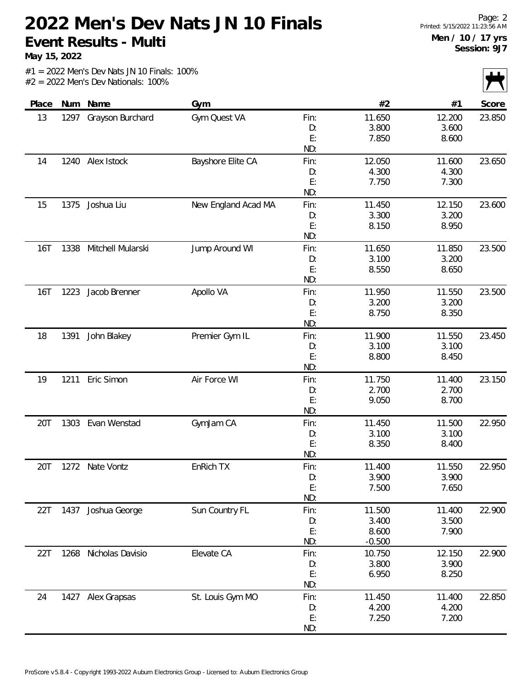**May 15, 2022**

|                    |      |                        |                     |           |          |        | $\sqrt{ }$ |
|--------------------|------|------------------------|---------------------|-----------|----------|--------|------------|
| Place              | Num  | Name                   | Gym                 |           | #2       | #1     | Score      |
| 13                 | 1297 | Grayson Burchard       | Gym Quest VA        | Fin:      | 11.650   | 12.200 | 23.850     |
|                    |      |                        |                     | D:        | 3.800    | 3.600  |            |
|                    |      |                        |                     | E:        | 7.850    | 8.600  |            |
|                    |      |                        |                     | ND:       |          |        |            |
| 14                 |      | 1240 Alex Istock       | Bayshore Elite CA   | Fin:      | 12.050   | 11.600 | 23.650     |
|                    |      |                        |                     | D:        | 4.300    | 4.300  |            |
|                    |      |                        |                     | E:        | 7.750    | 7.300  |            |
|                    |      |                        |                     | ND:       |          |        |            |
| 15                 | 1375 | Joshua Liu             | New England Acad MA | Fin:      | 11.450   | 12.150 | 23.600     |
|                    |      |                        |                     | D:        | 3.300    | 3.200  |            |
|                    |      |                        |                     | E:        | 8.150    | 8.950  |            |
|                    |      |                        |                     | ND:       |          |        |            |
| <b>16T</b>         |      | 1338 Mitchell Mularski | Jump Around WI      | Fin:      | 11.650   | 11.850 | 23.500     |
|                    |      |                        |                     | D:        | 3.100    | 3.200  |            |
|                    |      |                        |                     | E:        | 8.550    | 8.650  |            |
|                    |      |                        |                     | ND:       |          |        |            |
| <b>16T</b><br>1223 |      | Jacob Brenner          | Apollo VA           | Fin:      | 11.950   | 11.550 | 23.500     |
|                    |      |                        |                     | D:        | 3.200    | 3.200  |            |
|                    |      |                        |                     | E:        | 8.750    | 8.350  |            |
|                    |      |                        |                     | ND:       |          |        |            |
| 18                 | 1391 | John Blakey            | Premier Gym IL      | Fin:      | 11.900   | 11.550 | 23.450     |
|                    |      |                        |                     | D:        | 3.100    | 3.100  |            |
|                    |      |                        |                     | E:<br>ND: | 8.800    | 8.450  |            |
| 19                 | 1211 | Eric Simon             | Air Force WI        | Fin:      | 11.750   | 11.400 | 23.150     |
|                    |      |                        |                     | D:        | 2.700    | 2.700  |            |
|                    |      |                        |                     | E:        | 9.050    | 8.700  |            |
|                    |      |                        |                     | ND:       |          |        |            |
| 20T                | 1303 | Evan Wenstad           | GymJam CA           | Fin:      | 11.450   | 11.500 | 22.950     |
|                    |      |                        |                     | D:        | 3.100    | 3.100  |            |
|                    |      |                        |                     | E:        | 8.350    | 8.400  |            |
|                    |      |                        |                     | ND:       |          |        |            |
| 20T                |      | 1272 Nate Vontz        | EnRich TX           | Fin:      | 11.400   | 11.550 | 22.950     |
|                    |      |                        |                     | D:        | 3.900    | 3.900  |            |
|                    |      |                        |                     | E:        | 7.500    | 7.650  |            |
|                    |      |                        |                     | ND:       |          |        |            |
| 22T                |      | 1437 Joshua George     | Sun Country FL      | Fin:      | 11.500   | 11.400 | 22.900     |
|                    |      |                        |                     | D:        | 3.400    | 3.500  |            |
|                    |      |                        |                     | E:        | 8.600    | 7.900  |            |
|                    |      |                        |                     | ND:       | $-0.500$ |        |            |
| 22T                | 1268 | Nicholas Davisio       | Elevate CA          | Fin:      | 10.750   | 12.150 | 22.900     |
|                    |      |                        |                     | D:        | 3.800    | 3.900  |            |
|                    |      |                        |                     | E:        | 6.950    | 8.250  |            |
|                    |      |                        |                     | ND:       |          |        |            |
| 24                 |      | 1427 Alex Grapsas      | St. Louis Gym MO    | Fin:      | 11.450   | 11.400 | 22.850     |
|                    |      |                        |                     | D:        | 4.200    | 4.200  |            |
|                    |      |                        |                     | E:        | 7.250    | 7.200  |            |
|                    |      |                        |                     | ND:       |          |        |            |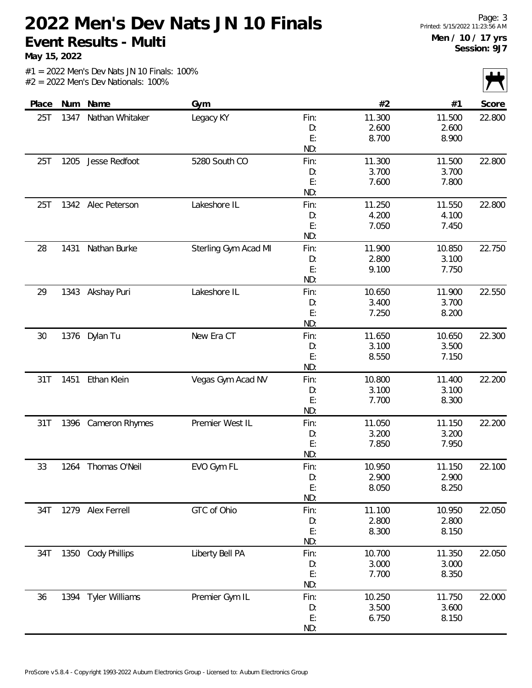**May 15, 2022**

|       |      |                       |                      |      |        |        | $\frac{1}{2}$ |
|-------|------|-----------------------|----------------------|------|--------|--------|---------------|
| Place | Num  | Name                  | Gym                  |      | #2     | #1     | Score         |
| 25T   | 1347 | Nathan Whitaker       | Legacy KY            | Fin: | 11.300 | 11.500 | 22.800        |
|       |      |                       |                      | D:   | 2.600  | 2.600  |               |
|       |      |                       |                      | E:   | 8.700  | 8.900  |               |
|       |      |                       |                      | ND:  |        |        |               |
| 25T   | 1205 | Jesse Redfoot         | 5280 South CO        | Fin: | 11.300 | 11.500 | 22.800        |
|       |      |                       |                      | D:   | 3.700  | 3.700  |               |
|       |      |                       |                      | E:   | 7.600  | 7.800  |               |
|       |      |                       |                      | ND:  |        |        |               |
| 25T   |      | 1342 Alec Peterson    | Lakeshore IL         | Fin: | 11.250 | 11.550 | 22.800        |
|       |      |                       |                      | D:   | 4.200  | 4.100  |               |
|       |      |                       |                      | E:   | 7.050  | 7.450  |               |
|       |      |                       |                      | ND:  |        |        |               |
| 28    | 1431 | Nathan Burke          | Sterling Gym Acad MI | Fin: | 11.900 | 10.850 | 22.750        |
|       |      |                       |                      | D:   | 2.800  | 3.100  |               |
|       |      |                       |                      | E:   | 9.100  | 7.750  |               |
|       |      |                       |                      | ND:  |        |        |               |
| 29    |      | 1343 Akshay Puri      | Lakeshore IL         | Fin: | 10.650 | 11.900 | 22.550        |
|       |      |                       |                      | D:   | 3.400  | 3.700  |               |
|       |      |                       |                      | E:   | 7.250  | 8.200  |               |
|       |      |                       |                      | ND:  |        |        |               |
| 30    | 1376 | Dylan Tu              | New Era CT           | Fin: | 11.650 | 10.650 | 22.300        |
|       |      |                       |                      | D:   | 3.100  | 3.500  |               |
|       |      |                       |                      | E:   | 8.550  | 7.150  |               |
|       |      |                       |                      | ND:  |        |        |               |
| 31T   | 1451 | Ethan Klein           | Vegas Gym Acad NV    | Fin: | 10.800 | 11.400 | 22.200        |
|       |      |                       |                      | D:   | 3.100  | 3.100  |               |
|       |      |                       |                      | E:   | 7.700  | 8.300  |               |
|       |      |                       |                      | ND:  |        |        |               |
| 31T   | 1396 | Cameron Rhymes        | Premier West IL      | Fin: | 11.050 | 11.150 | 22.200        |
|       |      |                       |                      | D:   | 3.200  | 3.200  |               |
|       |      |                       |                      | E:   | 7.850  | 7.950  |               |
|       |      |                       |                      | ND:  |        |        |               |
| 33    | 1264 | Thomas O'Neil         | EVO Gym FL           | Fin: | 10.950 | 11.150 | 22.100        |
|       |      |                       |                      | D:   | 2.900  | 2.900  |               |
|       |      |                       |                      | E:   | 8.050  | 8.250  |               |
|       |      |                       |                      | ND:  |        |        |               |
| 34T   |      | 1279 Alex Ferrell     | GTC of Ohio          | Fin: | 11.100 | 10.950 | 22.050        |
|       |      |                       |                      | D:   | 2.800  | 2.800  |               |
|       |      |                       |                      | E:   | 8.300  | 8.150  |               |
|       |      |                       |                      | ND:  |        |        |               |
| 34T   |      | 1350 Cody Phillips    | Liberty Bell PA      | Fin: | 10.700 | 11.350 | 22.050        |
|       |      |                       |                      | D:   | 3.000  | 3.000  |               |
|       |      |                       |                      | E:   | 7.700  | 8.350  |               |
|       |      |                       |                      | ND:  |        |        |               |
| 36    | 1394 | <b>Tyler Williams</b> | Premier Gym IL       | Fin: | 10.250 | 11.750 | 22.000        |
|       |      |                       |                      | D:   | 3.500  | 3.600  |               |
|       |      |                       |                      | E:   | 6.750  | 8.150  |               |
|       |      |                       |                      | ND:  |        |        |               |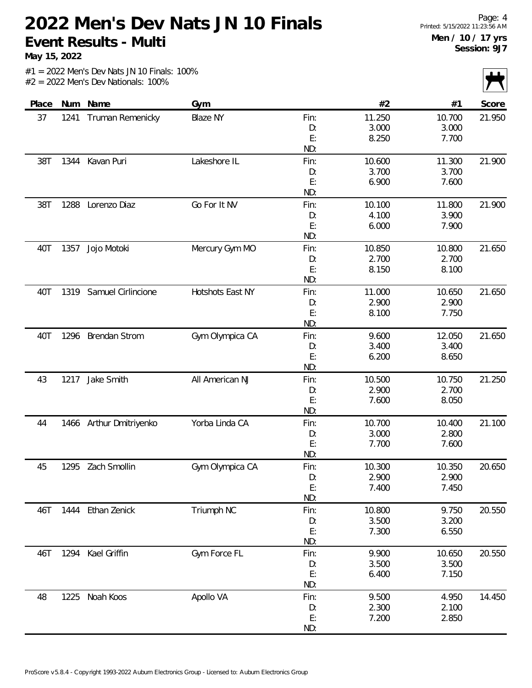**May 15, 2022**

|       |      |                         |                  |      |        |        | $\mathbf{r}$<br>$\mathbf{I}$ |
|-------|------|-------------------------|------------------|------|--------|--------|------------------------------|
| Place |      | Num Name                | Gym              |      | #2     | #1     | Score                        |
| 37    | 1241 | Truman Remenicky        | <b>Blaze NY</b>  | Fin: | 11.250 | 10.700 | 21.950                       |
|       |      |                         |                  | D:   | 3.000  | 3.000  |                              |
|       |      |                         |                  | E:   | 8.250  | 7.700  |                              |
|       |      |                         |                  | ND:  |        |        |                              |
| 38T   | 1344 | Kavan Puri              | Lakeshore IL     | Fin: | 10.600 | 11.300 | 21.900                       |
|       |      |                         |                  | D:   | 3.700  | 3.700  |                              |
|       |      |                         |                  | E:   | 6.900  | 7.600  |                              |
|       |      |                         |                  | ND:  |        |        |                              |
| 38T   | 1288 | Lorenzo Diaz            | Go For It NV     | Fin: | 10.100 | 11.800 | 21.900                       |
|       |      |                         |                  | D:   | 4.100  | 3.900  |                              |
|       |      |                         |                  | E:   | 6.000  | 7.900  |                              |
|       |      |                         |                  | ND:  |        |        |                              |
| 40T   | 1357 | Jojo Motoki             | Mercury Gym MO   | Fin: | 10.850 | 10.800 | 21.650                       |
|       |      |                         |                  | D:   | 2.700  | 2.700  |                              |
|       |      |                         |                  | E:   | 8.150  | 8.100  |                              |
|       |      |                         |                  | ND:  |        |        |                              |
| 40T   | 1319 | Samuel Cirlincione      | Hotshots East NY | Fin: | 11.000 | 10.650 | 21.650                       |
|       |      |                         |                  | D:   | 2.900  | 2.900  |                              |
|       |      |                         |                  | E:   | 8.100  | 7.750  |                              |
|       |      |                         |                  | ND:  |        |        |                              |
| 40T   |      | 1296 Brendan Strom      | Gym Olympica CA  | Fin: | 9.600  | 12.050 | 21.650                       |
|       |      |                         |                  | D:   | 3.400  | 3.400  |                              |
|       |      |                         |                  | E:   | 6.200  | 8.650  |                              |
|       |      |                         |                  | ND:  |        |        |                              |
| 43    | 1217 | Jake Smith              | All American NJ  | Fin: | 10.500 | 10.750 | 21.250                       |
|       |      |                         |                  | D:   | 2.900  | 2.700  |                              |
|       |      |                         |                  | E:   | 7.600  | 8.050  |                              |
|       |      |                         |                  | ND:  |        |        |                              |
| 44    |      | 1466 Arthur Dmitriyenko | Yorba Linda CA   | Fin: | 10.700 | 10.400 | 21.100                       |
|       |      |                         |                  | D:   | 3.000  | 2.800  |                              |
|       |      |                         |                  | E:   | 7.700  | 7.600  |                              |
|       |      |                         |                  | ND:  |        |        |                              |
| 45    | 1295 | Zach Smollin            | Gym Olympica CA  | Fin: | 10.300 | 10.350 | 20.650                       |
|       |      |                         |                  | D:   | 2.900  | 2.900  |                              |
|       |      |                         |                  | E:   | 7.400  | 7.450  |                              |
|       |      |                         |                  | ND:  |        |        |                              |
| 46T   |      | 1444 Ethan Zenick       | Triumph NC       | Fin: | 10.800 | 9.750  | 20.550                       |
|       |      |                         |                  | D:   | 3.500  | 3.200  |                              |
|       |      |                         |                  | E:   | 7.300  | 6.550  |                              |
|       |      |                         |                  | ND:  |        |        |                              |
| 46T   |      | 1294 Kael Griffin       | Gym Force FL     | Fin: | 9.900  | 10.650 | 20.550                       |
|       |      |                         |                  | D:   | 3.500  | 3.500  |                              |
|       |      |                         |                  | E:   | 6.400  | 7.150  |                              |
|       |      |                         |                  | ND:  |        |        |                              |
| 48    |      | 1225 Noah Koos          | Apollo VA        | Fin: | 9.500  | 4.950  | 14.450                       |
|       |      |                         |                  | D:   | 2.300  | 2.100  |                              |
|       |      |                         |                  | E:   | 7.200  | 2.850  |                              |
|       |      |                         |                  | ND:  |        |        |                              |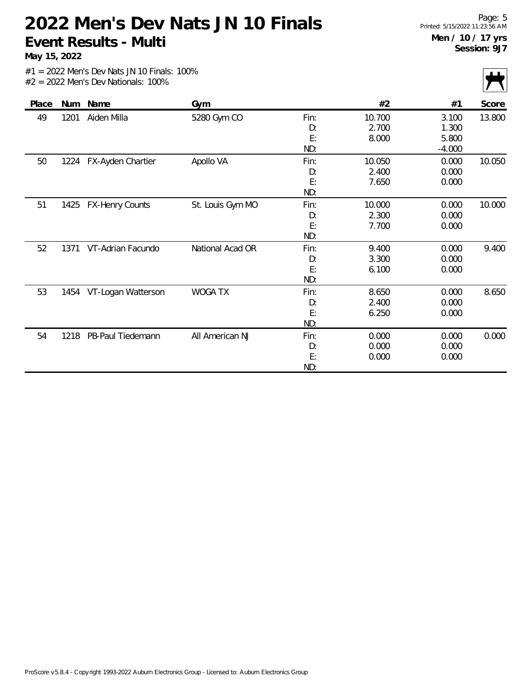**May 15, 2022**

| Place | Num  | Name                   | Gym              |      | #2     | #1       | Score  |
|-------|------|------------------------|------------------|------|--------|----------|--------|
| 49    | 1201 | Aiden Milla            | 5280 Gym CO      | Fin: | 10.700 | 3.100    | 13.800 |
|       |      |                        |                  | D:   | 2.700  | 1.300    |        |
|       |      |                        |                  | E:   | 8.000  | 5.800    |        |
|       |      |                        |                  | ND:  |        | $-4.000$ |        |
| 50    | 1224 | FX-Ayden Chartier      | Apollo VA        | Fin: | 10.050 | 0.000    | 10.050 |
|       |      |                        |                  | D:   | 2.400  | 0.000    |        |
|       |      |                        |                  | E:   | 7.650  | 0.000    |        |
|       |      |                        |                  | ND:  |        |          |        |
| 51    | 1425 | <b>FX-Henry Counts</b> | St. Louis Gym MO | Fin: | 10.000 | 0.000    | 10.000 |
|       |      |                        |                  | D:   | 2.300  | 0.000    |        |
|       |      |                        |                  | E:   | 7.700  | 0.000    |        |
|       |      |                        |                  | ND:  |        |          |        |
| 52    | 1371 | VT-Adrian Facundo      | National Acad OR | Fin: | 9.400  | 0.000    | 9.400  |
|       |      |                        |                  | D:   | 3.300  | 0.000    |        |
|       |      |                        |                  | E:   | 6.100  | 0.000    |        |
|       |      |                        |                  | ND:  |        |          |        |
| 53    | 1454 | VT-Logan Watterson     | <b>WOGA TX</b>   | Fin: | 8.650  | 0.000    | 8.650  |
|       |      |                        |                  | D:   | 2.400  | 0.000    |        |
|       |      |                        |                  | E:   | 6.250  | 0.000    |        |
|       |      |                        |                  | ND:  |        |          |        |
| 54    | 1218 | PB-Paul Tiedemann      | All American NJ  | Fin: | 0.000  | 0.000    | 0.000  |
|       |      |                        |                  | D:   | 0.000  | 0.000    |        |
|       |      |                        |                  | E:   | 0.000  | 0.000    |        |
|       |      |                        |                  | ND:  |        |          |        |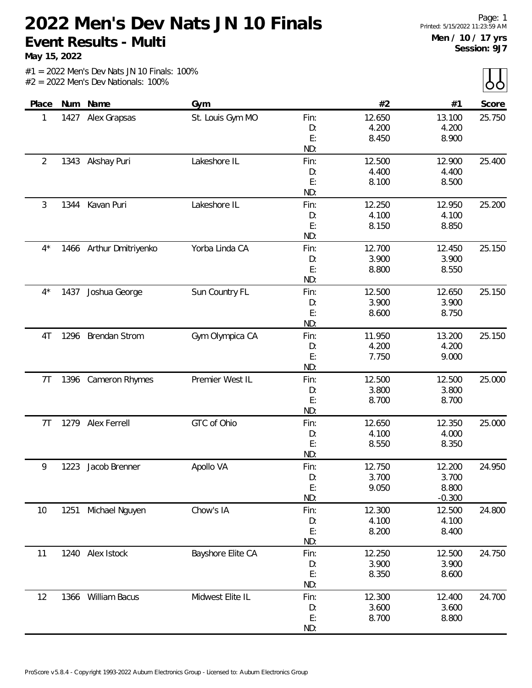**May 15, 2022**

|  |  |  | $#1 = 2022$ Men's Dev Nats JN 10 Finals: 100% |  |
|--|--|--|-----------------------------------------------|--|
|  |  |  | $#2 = 2022$ Men's Dev Nationals: 100%         |  |

| Place          |      | Num Name                | Gym               |          | #2             | #1             | Score  |
|----------------|------|-------------------------|-------------------|----------|----------------|----------------|--------|
| 1              |      | 1427 Alex Grapsas       | St. Louis Gym MO  | Fin:     | 12.650         | 13.100         | 25.750 |
|                |      |                         |                   | D:       | 4.200          | 4.200          |        |
|                |      |                         |                   | E:       | 8.450          | 8.900          |        |
|                |      |                         |                   | ND:      |                |                |        |
| 2              |      | 1343 Akshay Puri        | Lakeshore IL      | Fin:     | 12.500         | 12.900         | 25.400 |
|                |      |                         |                   | D:       | 4.400          | 4.400          |        |
|                |      |                         |                   | E:       | 8.100          | 8.500          |        |
|                |      |                         |                   | ND:      |                |                |        |
| 3              | 1344 | Kavan Puri              | Lakeshore IL      | Fin:     | 12.250         | 12.950         | 25.200 |
|                |      |                         |                   | D:       | 4.100          | 4.100          |        |
|                |      |                         |                   | E:       | 8.150          | 8.850          |        |
|                |      |                         |                   | ND:      |                |                |        |
| $4^{\star}$    |      | 1466 Arthur Dmitriyenko | Yorba Linda CA    | Fin:     | 12.700         | 12.450         | 25.150 |
|                |      |                         |                   | D:       | 3.900          | 3.900          |        |
|                |      |                         |                   | E:       | 8.800          | 8.550          |        |
|                |      |                         |                   | ND:      |                |                |        |
| $4^*$          | 1437 | Joshua George           | Sun Country FL    | Fin:     | 12.500         | 12.650         | 25.150 |
|                |      |                         |                   | D:       | 3.900          | 3.900          |        |
|                |      |                         |                   | E:       | 8.600          | 8.750          |        |
|                |      |                         |                   | ND:      |                |                |        |
| 4T             |      | 1296 Brendan Strom      | Gym Olympica CA   | Fin:     | 11.950         | 13.200         | 25.150 |
|                |      |                         |                   | D:       | 4.200          | 4.200          |        |
|                |      |                         |                   | E:       | 7.750          | 9.000          |        |
|                |      |                         |                   | ND:      |                |                |        |
| 7 <sub>T</sub> |      | 1396 Cameron Rhymes     | Premier West IL   | Fin:     | 12.500         | 12.500         | 25.000 |
|                |      |                         |                   | D:       | 3.800          | 3.800          |        |
|                |      |                         |                   | E:       | 8.700          | 8.700          |        |
|                |      |                         |                   | ND:      |                |                |        |
| 7 <sub>T</sub> | 1279 | Alex Ferrell            | GTC of Ohio       | Fin:     | 12.650         | 12.350         | 25.000 |
|                |      |                         |                   | D:       | 4.100          | 4.000          |        |
|                |      |                         |                   | E:       | 8.550          | 8.350          |        |
|                |      |                         |                   | ND:      |                |                |        |
| 9              | 1223 | Jacob Brenner           | Apollo VA         | Fin:     | 12.750         | 12.200         | 24.950 |
|                |      |                         |                   | D:       | 3.700          | 3.700          |        |
|                |      |                         |                   | E:       | 9.050          | 8.800          |        |
|                |      |                         |                   | ND:      |                | $-0.300$       |        |
| 10             | 1251 | Michael Nguyen          | Chow's IA         | Fin:     | 12.300         | 12.500         | 24.800 |
|                |      |                         |                   | D:       | 4.100          | 4.100          |        |
|                |      |                         |                   | E:       | 8.200          | 8.400          |        |
|                |      |                         |                   | ND:      |                |                |        |
| 11             |      | 1240 Alex Istock        | Bayshore Elite CA | Fin:     | 12.250         | 12.500         | 24.750 |
|                |      |                         |                   | D:       | 3.900          | 3.900          |        |
|                |      |                         |                   | E:       | 8.350          | 8.600          |        |
|                |      |                         |                   | ND:      |                |                |        |
|                |      |                         |                   |          |                |                |        |
| 12             | 1366 | William Bacus           | Midwest Elite IL  | Fin:     | 12.300         | 12.400         | 24.700 |
|                |      |                         |                   | D:<br>E: | 3.600<br>8.700 | 3.600<br>8.800 |        |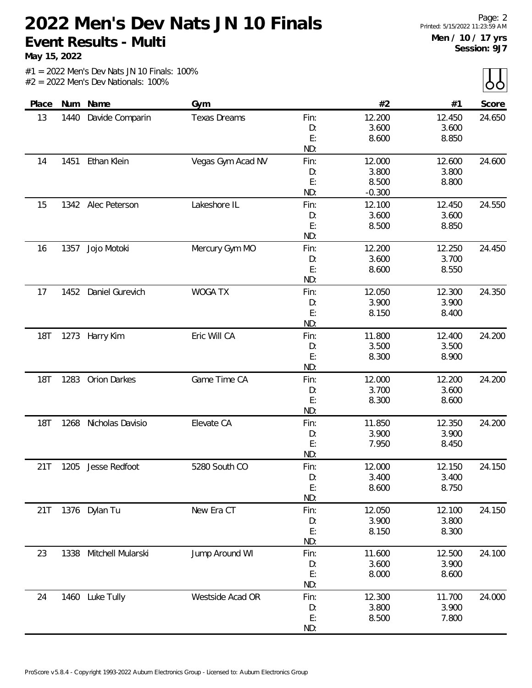**May 15, 2022**

 $\overline{L}$ 

|            |      |                   |                     |           |                 |                 | $\sim$ $\sim$ |
|------------|------|-------------------|---------------------|-----------|-----------------|-----------------|---------------|
| Place      |      | Num Name          | Gym                 |           | #2              | #1              | Score         |
| 13         | 1440 | Davide Comparin   | <b>Texas Dreams</b> | Fin:      | 12.200          | 12.450          | 24.650        |
|            |      |                   |                     | D:        | 3.600           | 3.600           |               |
|            |      |                   |                     | E:        | 8.600           | 8.850           |               |
|            |      |                   |                     | ND:       |                 |                 |               |
| 14         | 1451 | Ethan Klein       | Vegas Gym Acad NV   | Fin:      | 12.000          | 12.600          | 24.600        |
|            |      |                   |                     | D:        | 3.800           | 3.800           |               |
|            |      |                   |                     | E:        | 8.500           | 8.800           |               |
|            |      |                   |                     | ND:       | $-0.300$        |                 |               |
| 15         | 1342 | Alec Peterson     | Lakeshore IL        | Fin:      | 12.100          | 12.450          | 24.550        |
|            |      |                   |                     | D:        | 3.600           | 3.600           |               |
|            |      |                   |                     | E:        | 8.500           | 8.850           |               |
|            |      |                   |                     | ND:       |                 |                 |               |
| 16         | 1357 | Jojo Motoki       | Mercury Gym MO      | Fin:      | 12.200          | 12.250          | 24.450        |
|            |      |                   |                     | D:        | 3.600           | 3.700           |               |
|            |      |                   |                     | E:        | 8.600           | 8.550           |               |
|            |      |                   |                     | ND:       |                 |                 |               |
| 17         | 1452 | Daniel Gurevich   | <b>WOGA TX</b>      | Fin:      | 12.050          | 12.300          | 24.350        |
|            |      |                   |                     | D:        | 3.900           | 3.900           |               |
|            |      |                   |                     | E:        | 8.150           | 8.400           |               |
|            |      |                   |                     | ND:       |                 |                 |               |
| <b>18T</b> | 1273 | Harry Kim         | Eric Will CA        | Fin:      | 11.800          | 12.400          | 24.200        |
|            |      |                   |                     | D:        | 3.500           | 3.500           |               |
|            |      |                   |                     | E:        | 8.300           | 8.900           |               |
|            |      |                   |                     | ND:       |                 |                 |               |
| <b>18T</b> | 1283 | Orion Darkes      | Game Time CA        | Fin:      | 12.000          | 12.200          | 24.200        |
|            |      |                   |                     | D:        | 3.700           | 3.600           |               |
|            |      |                   |                     | E:        | 8.300           | 8.600           |               |
|            |      |                   |                     | ND:       |                 |                 |               |
| <b>18T</b> | 1268 | Nicholas Davisio  | Elevate CA          | Fin:      | 11.850          | 12.350          | 24.200        |
|            |      |                   |                     | D:        | 3.900           | 3.900           |               |
|            |      |                   |                     | E:<br>ND: | 7.950           | 8.450           |               |
|            |      | Jesse Redfoot     | 5280 South CO       |           |                 |                 |               |
| 21T        | 1205 |                   |                     | Fin:      | 12.000<br>3.400 | 12.150<br>3.400 | 24.150        |
|            |      |                   |                     | D:<br>E:  | 8.600           | 8.750           |               |
|            |      |                   |                     | ND:       |                 |                 |               |
| 21T        |      | 1376 Dylan Tu     | New Era CT          | Fin:      | 12.050          | 12.100          | 24.150        |
|            |      |                   |                     | D:        | 3.900           | 3.800           |               |
|            |      |                   |                     | E:        | 8.150           | 8.300           |               |
|            |      |                   |                     | ND:       |                 |                 |               |
| 23         | 1338 | Mitchell Mularski | Jump Around WI      | Fin:      | 11.600          | 12.500          | 24.100        |
|            |      |                   |                     | D:        | 3.600           | 3.900           |               |
|            |      |                   |                     | E:        | 8.000           | 8.600           |               |
|            |      |                   |                     | ND:       |                 |                 |               |
| 24         |      | 1460 Luke Tully   | Westside Acad OR    | Fin:      | 12.300          | 11.700          | 24.000        |
|            |      |                   |                     | D:        | 3.800           | 3.900           |               |
|            |      |                   |                     | E:        | 8.500           | 7.800           |               |
|            |      |                   |                     | ND:       |                 |                 |               |
|            |      |                   |                     |           |                 |                 |               |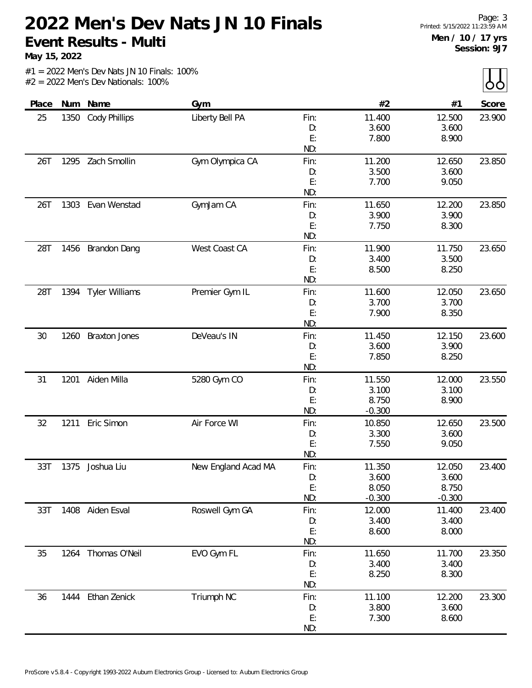**May 15, 2022**

 $\overline{L}$ 

|       |      |                       |                     |      |          |          | $\sim$ $\sim$ $\sim$ $\sim$ |
|-------|------|-----------------------|---------------------|------|----------|----------|-----------------------------|
| Place |      | Num Name              | Gym                 |      | #2       | #1       | Score                       |
| 25    | 1350 | <b>Cody Phillips</b>  | Liberty Bell PA     | Fin: | 11.400   | 12.500   | 23.900                      |
|       |      |                       |                     | D:   | 3.600    | 3.600    |                             |
|       |      |                       |                     | E:   | 7.800    | 8.900    |                             |
|       |      |                       |                     | ND:  |          |          |                             |
| 26T   |      | 1295 Zach Smollin     | Gym Olympica CA     | Fin: | 11.200   | 12.650   | 23.850                      |
|       |      |                       |                     | D:   | 3.500    | 3.600    |                             |
|       |      |                       |                     | E:   | 7.700    | 9.050    |                             |
|       |      |                       |                     | ND:  |          |          |                             |
| 26T   | 1303 | Evan Wenstad          | GymJam CA           | Fin: | 11.650   | 12.200   | 23.850                      |
|       |      |                       |                     | D:   | 3.900    | 3.900    |                             |
|       |      |                       |                     | E:   | 7.750    | 8.300    |                             |
|       |      |                       |                     | ND:  |          |          |                             |
| 28T   |      | 1456 Brandon Dang     | West Coast CA       | Fin: | 11.900   | 11.750   | 23.650                      |
|       |      |                       |                     | D:   | 3.400    | 3.500    |                             |
|       |      |                       |                     | E:   | 8.500    | 8.250    |                             |
|       |      |                       |                     | ND:  |          |          |                             |
| 28T   | 1394 | <b>Tyler Williams</b> | Premier Gym IL      | Fin: | 11.600   | 12.050   | 23.650                      |
|       |      |                       |                     | D:   | 3.700    | 3.700    |                             |
|       |      |                       |                     | E:   | 7.900    | 8.350    |                             |
|       |      |                       |                     | ND:  |          |          |                             |
| 30    | 1260 | <b>Braxton Jones</b>  | DeVeau's IN         | Fin: | 11.450   | 12.150   | 23.600                      |
|       |      |                       |                     | D:   | 3.600    | 3.900    |                             |
|       |      |                       |                     | E:   | 7.850    | 8.250    |                             |
|       |      |                       |                     | ND:  |          |          |                             |
| 31    | 1201 | Aiden Milla           | 5280 Gym CO         | Fin: | 11.550   | 12.000   | 23.550                      |
|       |      |                       |                     | D:   | 3.100    | 3.100    |                             |
|       |      |                       |                     | E:   | 8.750    | 8.900    |                             |
|       |      |                       |                     | ND:  | $-0.300$ |          |                             |
| 32    | 1211 | Eric Simon            | Air Force WI        | Fin: | 10.850   | 12.650   | 23.500                      |
|       |      |                       |                     | D:   | 3.300    | 3.600    |                             |
|       |      |                       |                     | E:   | 7.550    | 9.050    |                             |
|       |      |                       |                     | ND:  |          |          |                             |
| 33T   | 1375 | Joshua Liu            | New England Acad MA | Fin: | 11.350   | 12.050   | 23.400                      |
|       |      |                       |                     | D:   | 3.600    | 3.600    |                             |
|       |      |                       |                     | E:   | 8.050    | 8.750    |                             |
|       |      |                       |                     | ND:  | $-0.300$ | $-0.300$ |                             |
| 33T   |      | 1408 Aiden Esval      | Roswell Gym GA      | Fin: | 12.000   | 11.400   | 23.400                      |
|       |      |                       |                     | D:   | 3.400    | 3.400    |                             |
|       |      |                       |                     | E:   | 8.600    | 8.000    |                             |
|       |      |                       |                     | ND:  |          |          |                             |
| 35    | 1264 | Thomas O'Neil         | EVO Gym FL          | Fin: | 11.650   | 11.700   | 23.350                      |
|       |      |                       |                     | D:   | 3.400    | 3.400    |                             |
|       |      |                       |                     | E:   | 8.250    | 8.300    |                             |
|       |      |                       |                     | ND:  |          |          |                             |
| 36    | 1444 | Ethan Zenick          | Triumph NC          | Fin: | 11.100   | 12.200   | 23.300                      |
|       |      |                       |                     | D:   | 3.800    | 3.600    |                             |
|       |      |                       |                     | E:   | 7.300    | 8.600    |                             |
|       |      |                       |                     | ND:  |          |          |                             |
|       |      |                       |                     |      |          |          |                             |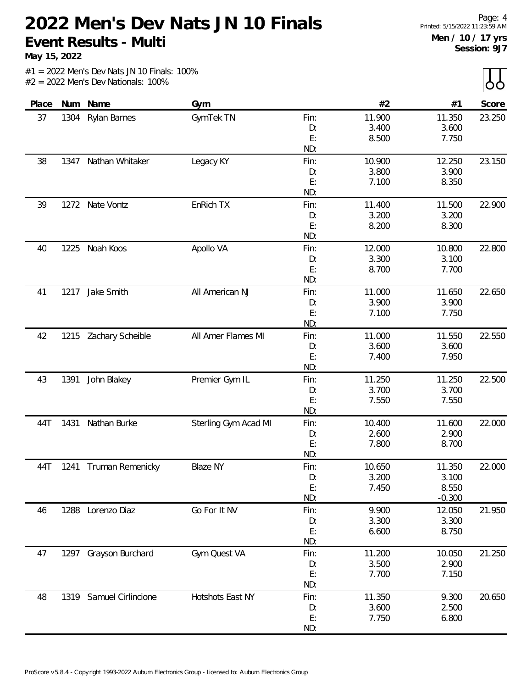**May 15, 2022**

|  |                                       |  | $#1 = 2022$ Men's Dev Nats JN 10 Finals: 100% |  |
|--|---------------------------------------|--|-----------------------------------------------|--|
|  | $#2 = 2022$ Men's Dev Nationals: 100% |  |                                               |  |

| Place |      | Num Name              | Gym                  |            | #2              | #1              | Score  |
|-------|------|-----------------------|----------------------|------------|-----------------|-----------------|--------|
| 37    | 1304 | <b>Rylan Barnes</b>   | GymTek TN            | Fin:<br>D: | 11.900<br>3.400 | 11.350<br>3.600 | 23.250 |
|       |      |                       |                      | E:         | 8.500           | 7.750           |        |
|       |      |                       |                      | ND:        |                 |                 |        |
| 38    | 1347 | Nathan Whitaker       | Legacy KY            | Fin:       | 10.900          | 12.250          | 23.150 |
|       |      |                       |                      | D:         | 3.800           | 3.900           |        |
|       |      |                       |                      | E:         | 7.100           | 8.350           |        |
|       |      |                       |                      | ND:        |                 |                 |        |
| 39    | 1272 | Nate Vontz            | EnRich TX            | Fin:       | 11.400          | 11.500          | 22.900 |
|       |      |                       |                      | D:         | 3.200           | 3.200           |        |
|       |      |                       |                      | E:         | 8.200           | 8.300           |        |
|       |      |                       |                      | ND:        |                 |                 |        |
| 40    | 1225 | Noah Koos             | Apollo VA            | Fin:       | 12.000          | 10.800          | 22.800 |
|       |      |                       |                      | D:<br>E:   | 3.300<br>8.700  | 3.100<br>7.700  |        |
|       |      |                       |                      | ND:        |                 |                 |        |
| 41    | 1217 | Jake Smith            | All American NJ      | Fin:       | 11.000          | 11.650          | 22.650 |
|       |      |                       |                      | D:         | 3.900           | 3.900           |        |
|       |      |                       |                      | E:         | 7.100           | 7.750           |        |
|       |      |                       |                      | ND:        |                 |                 |        |
| 42    | 1215 | Zachary Scheible      | All Amer Flames MI   | Fin:       | 11.000          | 11.550          | 22.550 |
|       |      |                       |                      | D:         | 3.600           | 3.600           |        |
|       |      |                       |                      | E:         | 7.400           | 7.950           |        |
|       |      |                       |                      | ND:        |                 |                 |        |
| 43    | 1391 | John Blakey           | Premier Gym IL       | Fin:       | 11.250          | 11.250          | 22.500 |
|       |      |                       |                      | D:         | 3.700           | 3.700           |        |
|       |      |                       |                      | E:         | 7.550           | 7.550           |        |
|       |      |                       |                      | ND:        |                 |                 |        |
| 44T   | 1431 | Nathan Burke          | Sterling Gym Acad MI | Fin:<br>D: | 10.400<br>2.600 | 11.600<br>2.900 | 22.000 |
|       |      |                       |                      | E:         | 7.800           | 8.700           |        |
|       |      |                       |                      | ND:        |                 |                 |        |
| 44T   |      | 1241 Truman Remenicky | <b>Blaze NY</b>      | Fin:       | 10.650          | 11.350          | 22.000 |
|       |      |                       |                      | D:         | 3.200           | 3.100           |        |
|       |      |                       |                      | E:         | 7.450           | 8.550           |        |
|       |      |                       |                      | ND:        |                 | $-0.300$        |        |
| 46    |      | 1288 Lorenzo Diaz     | Go For It NV         | Fin:       | 9.900           | 12.050          | 21.950 |
|       |      |                       |                      | D:         | 3.300           | 3.300           |        |
|       |      |                       |                      | E:         | 6.600           | 8.750           |        |
|       |      |                       |                      | ND:        |                 |                 |        |
| 47    | 1297 | Grayson Burchard      | Gym Quest VA         | Fin:<br>D: | 11.200<br>3.500 | 10.050<br>2.900 | 21.250 |
|       |      |                       |                      | E:         | 7.700           | 7.150           |        |
|       |      |                       |                      | ND:        |                 |                 |        |
| 48    | 1319 | Samuel Cirlincione    | Hotshots East NY     | Fin:       | 11.350          | 9.300           | 20.650 |
|       |      |                       |                      | D:         | 3.600           | 2.500           |        |
|       |      |                       |                      | E:         | 7.750           | 6.800           |        |
|       |      |                       |                      | ND:        |                 |                 |        |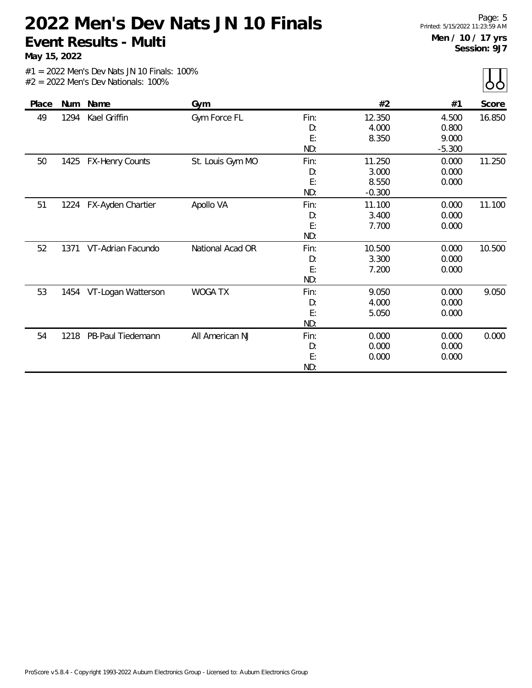**May 15, 2022**

 $\overline{\mathrm{b}}$ 

|       |            |                        |                  |      |          |          | - -    |
|-------|------------|------------------------|------------------|------|----------|----------|--------|
| Place | <b>Num</b> | Name                   | Gym              |      | #2       | #1       | Score  |
| 49    | 1294       | Kael Griffin           | Gym Force FL     | Fin: | 12.350   | 4.500    | 16.850 |
|       |            |                        |                  | D:   | 4.000    | 0.800    |        |
|       |            |                        |                  | E:   | 8.350    | 9.000    |        |
|       |            |                        |                  | ND:  |          | $-5.300$ |        |
| 50    | 1425       | <b>FX-Henry Counts</b> | St. Louis Gym MO | Fin: | 11.250   | 0.000    | 11.250 |
|       |            |                        |                  | D:   | 3.000    | 0.000    |        |
|       |            |                        |                  | E:   | 8.550    | 0.000    |        |
|       |            |                        |                  | ND:  | $-0.300$ |          |        |
| 51    |            | 1224 FX-Ayden Chartier | Apollo VA        | Fin: | 11.100   | 0.000    | 11.100 |
|       |            |                        |                  | D:   | 3.400    | 0.000    |        |
|       |            |                        |                  | E:   | 7.700    | 0.000    |        |
|       |            |                        |                  | ND:  |          |          |        |
| 52    | 1371       | VT-Adrian Facundo      | National Acad OR | Fin: | 10.500   | 0.000    | 10.500 |
|       |            |                        |                  | D:   | 3.300    | 0.000    |        |
|       |            |                        |                  | E:   | 7.200    | 0.000    |        |
|       |            |                        |                  | ND:  |          |          |        |
| 53    | 1454       | VT-Logan Watterson     | WOGA TX          | Fin: | 9.050    | 0.000    | 9.050  |
|       |            |                        |                  | D:   | 4.000    | 0.000    |        |
|       |            |                        |                  | E:   | 5.050    | 0.000    |        |
|       |            |                        |                  | ND:  |          |          |        |
| 54    | 1218       | PB-Paul Tiedemann      | All American NJ  | Fin: | 0.000    | 0.000    | 0.000  |
|       |            |                        |                  | D:   | 0.000    | 0.000    |        |
|       |            |                        |                  | E:   | 0.000    | 0.000    |        |
|       |            |                        |                  | ND:  |          |          |        |
|       |            |                        |                  |      |          |          |        |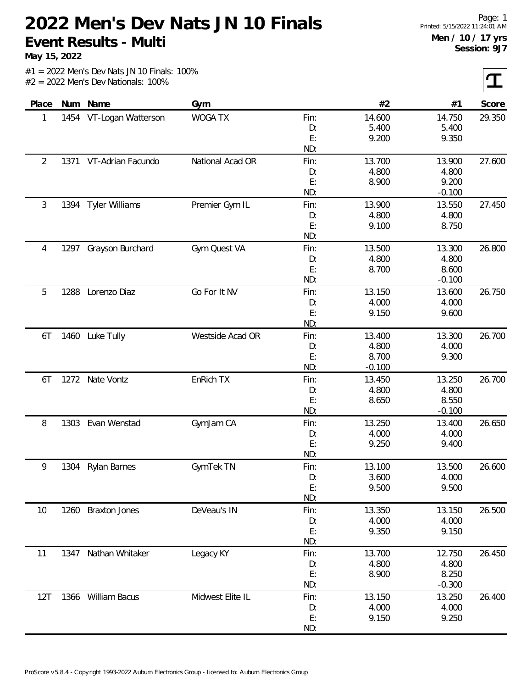**May 15, 2022**

 $|\mathbf{T}|$ 

| Place | Num  | Name                   | Gym              |      | #2       | #1       | Score  |
|-------|------|------------------------|------------------|------|----------|----------|--------|
| 1     | 1454 | VT-Logan Watterson     | <b>WOGA TX</b>   | Fin: | 14.600   | 14.750   | 29.350 |
|       |      |                        |                  | D:   | 5.400    | 5.400    |        |
|       |      |                        |                  | E:   | 9.200    | 9.350    |        |
|       |      |                        |                  | ND:  |          |          |        |
| 2     |      | 1371 VT-Adrian Facundo | National Acad OR | Fin: | 13.700   | 13.900   | 27.600 |
|       |      |                        |                  | D:   | 4.800    | 4.800    |        |
|       |      |                        |                  | E:   | 8.900    | 9.200    |        |
|       |      |                        |                  | ND:  |          | $-0.100$ |        |
| 3     | 1394 | <b>Tyler Williams</b>  | Premier Gym IL   | Fin: | 13.900   | 13.550   | 27.450 |
|       |      |                        |                  | D:   | 4.800    | 4.800    |        |
|       |      |                        |                  | E:   | 9.100    | 8.750    |        |
|       |      |                        |                  | ND:  |          |          |        |
| 4     | 1297 | Grayson Burchard       | Gym Quest VA     | Fin: | 13.500   | 13.300   | 26.800 |
|       |      |                        |                  | D:   | 4.800    | 4.800    |        |
|       |      |                        |                  | E:   | 8.700    | 8.600    |        |
|       |      |                        |                  | ND:  |          | $-0.100$ |        |
| 5     | 1288 | Lorenzo Diaz           | Go For It NV     | Fin: | 13.150   | 13.600   | 26.750 |
|       |      |                        |                  | D:   | 4.000    | 4.000    |        |
|       |      |                        |                  | E:   | 9.150    | 9.600    |        |
|       |      |                        |                  | ND:  |          |          |        |
| 6T    | 1460 | Luke Tully             | Westside Acad OR | Fin: | 13.400   | 13.300   | 26.700 |
|       |      |                        |                  | D:   | 4.800    | 4.000    |        |
|       |      |                        |                  | E:   | 8.700    | 9.300    |        |
|       |      |                        |                  | ND:  | $-0.100$ |          |        |
| 6T    |      | 1272 Nate Vontz        | EnRich TX        | Fin: | 13.450   | 13.250   | 26.700 |
|       |      |                        |                  | D:   | 4.800    | 4.800    |        |
|       |      |                        |                  | E:   | 8.650    | 8.550    |        |
|       |      |                        |                  | ND:  |          | $-0.100$ |        |
| 8     | 1303 | Evan Wenstad           | GymJam CA        | Fin: | 13.250   | 13.400   | 26.650 |
|       |      |                        |                  | D:   | 4.000    | 4.000    |        |
|       |      |                        |                  | E:   | 9.250    | 9.400    |        |
|       |      |                        |                  | ND:  |          |          |        |
| 9     | 1304 | <b>Rylan Barnes</b>    | GymTek TN        | Fin: | 13.100   | 13.500   | 26.600 |
|       |      |                        |                  | D:   | 3.600    | 4.000    |        |
|       |      |                        |                  | E:   | 9.500    | 9.500    |        |
|       |      |                        |                  | ND:  |          |          |        |
| 10    | 1260 | <b>Braxton Jones</b>   | DeVeau's IN      | Fin: | 13.350   | 13.150   | 26.500 |
|       |      |                        |                  | D:   | 4.000    | 4.000    |        |
|       |      |                        |                  | E:   | 9.350    | 9.150    |        |
|       |      |                        |                  | ND:  |          |          |        |
| 11    | 1347 | Nathan Whitaker        | Legacy KY        | Fin: | 13.700   | 12.750   | 26.450 |
|       |      |                        |                  | D:   | 4.800    | 4.800    |        |
|       |      |                        |                  | E:   | 8.900    | 8.250    |        |
|       |      |                        |                  | ND:  |          | $-0.300$ |        |
| 12T   |      | 1366 William Bacus     | Midwest Elite IL | Fin: | 13.150   | 13.250   | 26.400 |
|       |      |                        |                  | D:   | 4.000    | 4.000    |        |
|       |      |                        |                  | E:   | 9.150    | 9.250    |        |
|       |      |                        |                  | ND:  |          |          |        |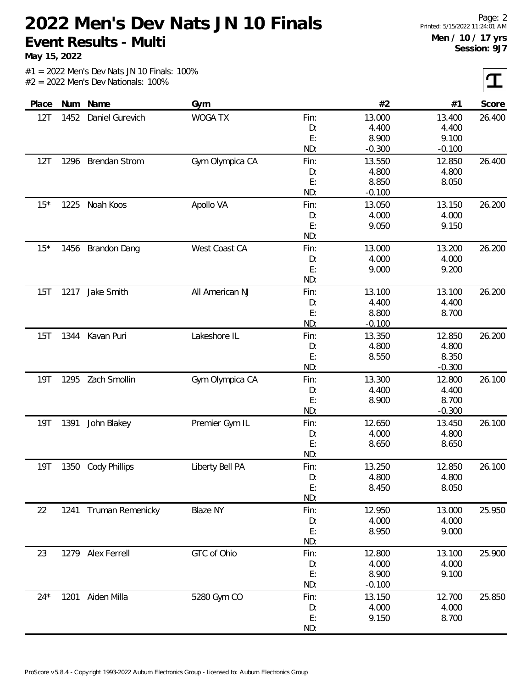**May 15, 2022**

 $\mathbf T$ 

|  |  |  | $#1 = 2022$ Men's Dev Nats JN 10 Finals: 100% |  |
|--|--|--|-----------------------------------------------|--|
|  |  |  | $#2 = 2022$ Men's Dev Nationals: 100%         |  |

| Place      |      | Num Name              | Gym             |          | #2             | #1       | Score  |
|------------|------|-----------------------|-----------------|----------|----------------|----------|--------|
| 12T        | 1452 | Daniel Gurevich       | <b>WOGA TX</b>  | Fin:     | 13.000         | 13.400   | 26.400 |
|            |      |                       |                 | D:       | 4.400          | 4.400    |        |
|            |      |                       |                 | E:       | 8.900          | 9.100    |        |
|            |      |                       |                 | ND:      | $-0.300$       | $-0.100$ |        |
| 12T        | 1296 | <b>Brendan Strom</b>  | Gym Olympica CA | Fin:     | 13.550         | 12.850   | 26.400 |
|            |      |                       |                 | D:       | 4.800          | 4.800    |        |
|            |      |                       |                 | E:       | 8.850          | 8.050    |        |
|            |      |                       |                 | ND:      | $-0.100$       |          |        |
| $15*$      | 1225 | Noah Koos             | Apollo VA       | Fin:     | 13.050         | 13.150   | 26.200 |
|            |      |                       |                 | D:       | 4.000          | 4.000    |        |
|            |      |                       |                 | E:       | 9.050          | 9.150    |        |
|            |      |                       |                 | ND:      |                |          |        |
| $15*$      | 1456 | <b>Brandon Dang</b>   | West Coast CA   | Fin:     | 13.000         | 13.200   | 26.200 |
|            |      |                       |                 | D:       | 4.000          | 4.000    |        |
|            |      |                       |                 | E:       | 9.000          | 9.200    |        |
|            |      |                       |                 | ND:      |                |          |        |
| 15T        | 1217 | Jake Smith            | All American NJ | Fin:     | 13.100         | 13.100   | 26.200 |
|            |      |                       |                 | D:       | 4.400          | 4.400    |        |
|            |      |                       |                 | E:       | 8.800          | 8.700    |        |
|            |      |                       |                 | ND:      | $-0.100$       |          |        |
| 15T        | 1344 | Kavan Puri            | Lakeshore IL    | Fin:     | 13.350         | 12.850   | 26.200 |
|            |      |                       |                 | D:       | 4.800          | 4.800    |        |
|            |      |                       |                 | E:       | 8.550          | 8.350    |        |
|            |      |                       |                 | ND:      |                | $-0.300$ |        |
| <b>19T</b> | 1295 | Zach Smollin          | Gym Olympica CA | Fin:     | 13.300         | 12.800   | 26.100 |
|            |      |                       |                 | D:       | 4.400          | 4.400    |        |
|            |      |                       |                 | E:       | 8.900          | 8.700    |        |
|            |      |                       |                 | ND:      |                | $-0.300$ |        |
| 19T        | 1391 | John Blakey           | Premier Gym IL  | Fin:     | 12.650         | 13.450   | 26.100 |
|            |      |                       |                 | D:       | 4.000          | 4.800    |        |
|            |      |                       |                 | E:       | 8.650          | 8.650    |        |
|            |      |                       |                 | ND:      |                |          |        |
| 19T        | 1350 | <b>Cody Phillips</b>  | Liberty Bell PA | Fin:     | 13.250         | 12.850   | 26.100 |
|            |      |                       |                 | D:       | 4.800          | 4.800    |        |
|            |      |                       |                 | E:       | 8.450          | 8.050    |        |
|            |      |                       |                 | ND:      |                |          |        |
|            |      |                       | <b>Blaze NY</b> |          | 12.950         | 13.000   |        |
| 22         |      | 1241 Truman Remenicky |                 | Fin:     |                | 4.000    | 25.950 |
|            |      |                       |                 | D:<br>E: | 4.000<br>8.950 | 9.000    |        |
|            |      |                       |                 | ND:      |                |          |        |
|            |      |                       |                 |          |                |          |        |
| 23         |      | 1279 Alex Ferrell     | GTC of Ohio     | Fin:     | 12.800         | 13.100   | 25.900 |
|            |      |                       |                 | D:       | 4.000          | 4.000    |        |
|            |      |                       |                 | E:       | 8.900          | 9.100    |        |
|            |      |                       |                 | ND:      | $-0.100$       |          |        |
| $24*$      |      | 1201 Aiden Milla      | 5280 Gym CO     | Fin:     | 13.150         | 12.700   | 25.850 |
|            |      |                       |                 | D:       | 4.000          | 4.000    |        |
|            |      |                       |                 | E:       | 9.150          | 8.700    |        |
|            |      |                       |                 | ND:      |                |          |        |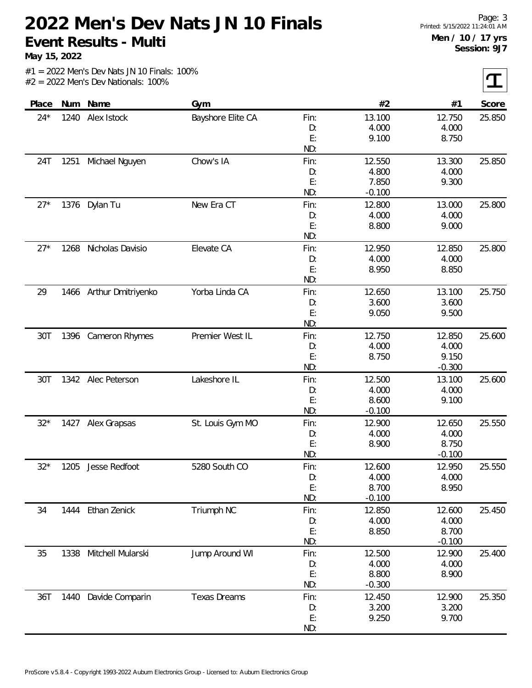**May 15, 2022**

I

|  |                                       |  | $#1 = 2022$ Men's Dev Nats JN 10 Finals: 100% |  |
|--|---------------------------------------|--|-----------------------------------------------|--|
|  | $#2 = 2022$ Men's Dev Nationals: 100% |  |                                               |  |

| Place | Num  | Name                    | Gym                 |            | #2                | #1              | Score  |
|-------|------|-------------------------|---------------------|------------|-------------------|-----------------|--------|
| $24*$ | 1240 | Alex Istock             | Bayshore Elite CA   | Fin:       | 13.100            | 12.750          | 25.850 |
|       |      |                         |                     | D:         | 4.000             | 4.000           |        |
|       |      |                         |                     | E:         | 9.100             | 8.750           |        |
|       |      |                         |                     | ND:        |                   |                 |        |
| 24T   | 1251 | Michael Nguyen          | Chow's IA           | Fin:       | 12.550            | 13.300          | 25.850 |
|       |      |                         |                     | D:         | 4.800             | 4.000           |        |
|       |      |                         |                     | E:         | 7.850             | 9.300           |        |
|       |      |                         |                     | ND:        | $-0.100$          |                 |        |
| $27*$ | 1376 | Dylan Tu                | New Era CT          | Fin:       | 12.800            | 13.000          | 25.800 |
|       |      |                         |                     | D:         | 4.000             | 4.000           |        |
|       |      |                         |                     | E:         | 8.800             | 9.000           |        |
|       |      |                         |                     | ND:        |                   |                 |        |
| $27*$ | 1268 | Nicholas Davisio        | Elevate CA          | Fin:       | 12.950            | 12.850          | 25.800 |
|       |      |                         |                     | D:         | 4.000             | 4.000           |        |
|       |      |                         |                     | E:         | 8.950             | 8.850           |        |
|       |      |                         |                     | ND:        |                   |                 |        |
| 29    |      | 1466 Arthur Dmitriyenko | Yorba Linda CA      | Fin:       | 12.650            | 13.100          | 25.750 |
|       |      |                         |                     | D:         | 3.600             | 3.600           |        |
|       |      |                         |                     | E:         | 9.050             | 9.500           |        |
|       |      |                         |                     | ND:        |                   |                 |        |
| 30T   |      | 1396 Cameron Rhymes     | Premier West IL     | Fin:       | 12.750            | 12.850          | 25.600 |
|       |      |                         |                     | D:         | 4.000             | 4.000           |        |
|       |      |                         |                     | E:         | 8.750             | 9.150           |        |
|       |      |                         |                     | ND:        |                   | $-0.300$        |        |
| 30T   |      | 1342 Alec Peterson      | Lakeshore IL        | Fin:       | 12.500            | 13.100          | 25.600 |
|       |      |                         |                     | D:         | 4.000             | 4.000           |        |
|       |      |                         |                     | E:<br>ND:  | 8.600<br>$-0.100$ | 9.100           |        |
| $32*$ |      |                         |                     |            |                   |                 | 25.550 |
|       | 1427 | Alex Grapsas            | St. Louis Gym MO    | Fin:<br>D: | 12.900<br>4.000   | 12.650<br>4.000 |        |
|       |      |                         |                     | E:         | 8.900             | 8.750           |        |
|       |      |                         |                     | ND:        |                   | $-0.100$        |        |
| $32*$ | 1205 | Jesse Redfoot           | 5280 South CO       | Fin:       | 12.600            | 12.950          | 25.550 |
|       |      |                         |                     | D:         | 4.000             | 4.000           |        |
|       |      |                         |                     | E:         | 8.700             | 8.950           |        |
|       |      |                         |                     | ND:        | $-0.100$          |                 |        |
| 34    |      | 1444 Ethan Zenick       | Triumph NC          | Fin:       | 12.850            | 12.600          | 25.450 |
|       |      |                         |                     | D:         | 4.000             | 4.000           |        |
|       |      |                         |                     | E:         | 8.850             | 8.700           |        |
|       |      |                         |                     | ND:        |                   | $-0.100$        |        |
| 35    | 1338 | Mitchell Mularski       | Jump Around WI      | Fin:       | 12.500            | 12.900          | 25.400 |
|       |      |                         |                     | D:         | 4.000             | 4.000           |        |
|       |      |                         |                     | E:         | 8.800             | 8.900           |        |
|       |      |                         |                     | ND:        | $-0.300$          |                 |        |
| 36T   | 1440 | Davide Comparin         | <b>Texas Dreams</b> | Fin:       | 12.450            | 12.900          | 25.350 |
|       |      |                         |                     | D:         | 3.200             | 3.200           |        |
|       |      |                         |                     | E:         | 9.250             | 9.700           |        |
|       |      |                         |                     | ND:        |                   |                 |        |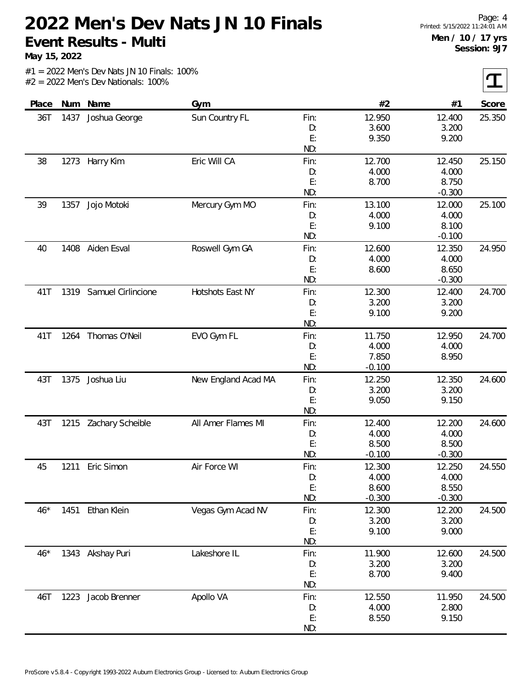**May 15, 2022**

 $|\mathbf{T}|$ 

| Place |      | Num Name           | Gym                 |      | #2       | #1       | Score  |
|-------|------|--------------------|---------------------|------|----------|----------|--------|
| 36T   | 1437 | Joshua George      | Sun Country FL      | Fin: | 12.950   | 12.400   | 25.350 |
|       |      |                    |                     | D:   | 3.600    | 3.200    |        |
|       |      |                    |                     | E:   | 9.350    | 9.200    |        |
|       |      |                    |                     | ND:  |          |          |        |
| 38    | 1273 | Harry Kim          | Eric Will CA        | Fin: | 12.700   | 12.450   | 25.150 |
|       |      |                    |                     | D:   | 4.000    | 4.000    |        |
|       |      |                    |                     | E:   | 8.700    | 8.750    |        |
|       |      |                    |                     | ND:  |          | $-0.300$ |        |
| 39    | 1357 | Jojo Motoki        | Mercury Gym MO      | Fin: | 13.100   | 12.000   | 25.100 |
|       |      |                    |                     | D:   | 4.000    | 4.000    |        |
|       |      |                    |                     | E:   | 9.100    | 8.100    |        |
|       |      |                    |                     | ND:  |          | $-0.100$ |        |
| 40    | 1408 | Aiden Esval        | Roswell Gym GA      | Fin: | 12.600   | 12.350   | 24.950 |
|       |      |                    |                     | D:   | 4.000    | 4.000    |        |
|       |      |                    |                     | E:   | 8.600    | 8.650    |        |
|       |      |                    |                     | ND:  |          | $-0.300$ |        |
| 41T   | 1319 | Samuel Cirlincione | Hotshots East NY    | Fin: | 12.300   | 12.400   | 24.700 |
|       |      |                    |                     | D:   | 3.200    | 3.200    |        |
|       |      |                    |                     | E:   | 9.100    | 9.200    |        |
|       |      |                    |                     | ND:  |          |          |        |
| 41T   | 1264 | Thomas O'Neil      | EVO Gym FL          | Fin: | 11.750   | 12.950   | 24.700 |
|       |      |                    |                     | D:   | 4.000    | 4.000    |        |
|       |      |                    |                     | E:   | 7.850    | 8.950    |        |
|       |      |                    |                     | ND:  | $-0.100$ |          |        |
| 43T   | 1375 | Joshua Liu         | New England Acad MA | Fin: | 12.250   | 12.350   | 24.600 |
|       |      |                    |                     | D:   | 3.200    | 3.200    |        |
|       |      |                    |                     | E:   | 9.050    | 9.150    |        |
|       |      |                    |                     | ND:  |          |          |        |
| 43T   | 1215 | Zachary Scheible   | All Amer Flames MI  | Fin: | 12.400   | 12.200   | 24.600 |
|       |      |                    |                     | D:   | 4.000    | 4.000    |        |
|       |      |                    |                     | E:   | 8.500    | 8.500    |        |
|       |      |                    |                     | ND:  | $-0.100$ | $-0.300$ |        |
| 45    | 1211 | Eric Simon         | Air Force WI        | Fin: | 12.300   | 12.250   | 24.550 |
|       |      |                    |                     | D:   | 4.000    | 4.000    |        |
|       |      |                    |                     | E:   | 8.600    | 8.550    |        |
|       |      |                    |                     | ND:  | $-0.300$ | $-0.300$ |        |
| $46*$ | 1451 | Ethan Klein        | Vegas Gym Acad NV   | Fin: | 12.300   | 12.200   | 24.500 |
|       |      |                    |                     | D:   | 3.200    | 3.200    |        |
|       |      |                    |                     | E:   | 9.100    | 9.000    |        |
|       |      |                    |                     | ND:  |          |          |        |
| $46*$ |      | 1343 Akshay Puri   | Lakeshore IL        | Fin: | 11.900   | 12.600   | 24.500 |
|       |      |                    |                     | D:   | 3.200    | 3.200    |        |
|       |      |                    |                     | E:   | 8.700    | 9.400    |        |
|       |      |                    |                     | ND:  |          |          |        |
| 46T   | 1223 | Jacob Brenner      | Apollo VA           | Fin: | 12.550   | 11.950   | 24.500 |
|       |      |                    |                     | D:   | 4.000    | 2.800    |        |
|       |      |                    |                     | E:   | 8.550    | 9.150    |        |
|       |      |                    |                     | ND:  |          |          |        |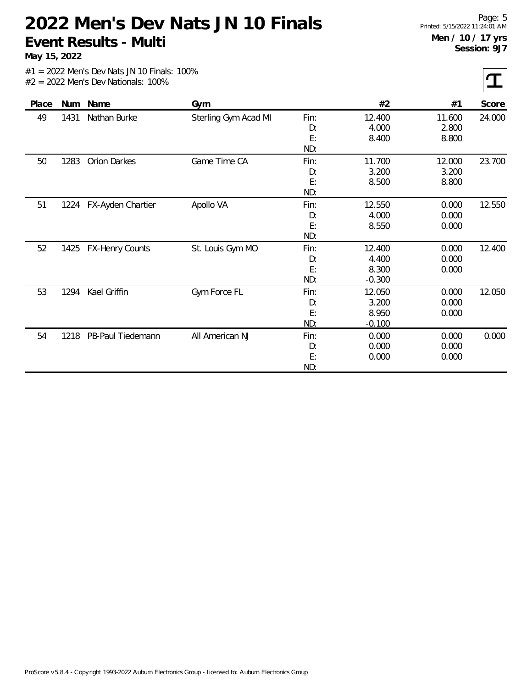**May 15, 2022**

 $\tau$ 

| Place | <b>Num</b> | Name                   | Gym                  |                         | #2                                   | #1                       | Score  |
|-------|------------|------------------------|----------------------|-------------------------|--------------------------------------|--------------------------|--------|
| 49    | 1431       | Nathan Burke           | Sterling Gym Acad MI | Fin:<br>D:<br>E:<br>ND: | 12.400<br>4.000<br>8.400             | 11.600<br>2.800<br>8.800 | 24.000 |
| 50    | 1283       | <b>Orion Darkes</b>    | Game Time CA         | Fin:<br>D:<br>E:<br>ND: | 11.700<br>3.200<br>8.500             | 12.000<br>3.200<br>8.800 | 23.700 |
| 51    | 1224       | FX-Ayden Chartier      | Apollo VA            | Fin:<br>D:<br>E:<br>ND: | 12.550<br>4.000<br>8.550             | 0.000<br>0.000<br>0.000  | 12.550 |
| 52    | 1425       | <b>FX-Henry Counts</b> | St. Louis Gym MO     | Fin:<br>D:<br>E:<br>ND: | 12.400<br>4.400<br>8.300<br>$-0.300$ | 0.000<br>0.000<br>0.000  | 12.400 |
| 53    | 1294       | Kael Griffin           | Gym Force FL         | Fin:<br>D:<br>E:<br>ND: | 12.050<br>3.200<br>8.950<br>$-0.100$ | 0.000<br>0.000<br>0.000  | 12.050 |
| 54    | 1218       | PB-Paul Tiedemann      | All American NJ      | Fin:<br>D:<br>E:<br>ND: | 0.000<br>0.000<br>0.000              | 0.000<br>0.000<br>0.000  | 0.000  |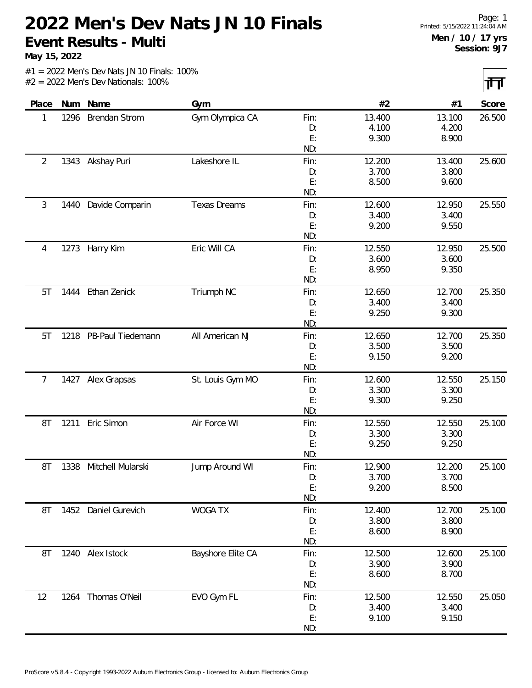**May 15, 2022**

 $\overline{\mathbf{H}}$ 

|                |      |                      |                     |           |                 |                 | ur ur j |
|----------------|------|----------------------|---------------------|-----------|-----------------|-----------------|---------|
| Place          | Num  | Name                 | Gym                 |           | #2              | #1              | Score   |
| 1              | 1296 | <b>Brendan Strom</b> | Gym Olympica CA     | Fin:      | 13.400          | 13.100          | 26.500  |
|                |      |                      |                     | D:        | 4.100           | 4.200           |         |
|                |      |                      |                     | E:        | 9.300           | 8.900           |         |
|                |      |                      |                     | ND:       |                 |                 |         |
| $\overline{2}$ | 1343 | Akshay Puri          | Lakeshore IL        | Fin:      | 12.200          | 13.400          | 25.600  |
|                |      |                      |                     | D:        | 3.700           | 3.800           |         |
|                |      |                      |                     | E:        | 8.500           | 9.600           |         |
|                |      |                      |                     | ND:       |                 |                 |         |
| 3              | 1440 | Davide Comparin      | <b>Texas Dreams</b> | Fin:      | 12.600          | 12.950          | 25.550  |
|                |      |                      |                     | D:        | 3.400           | 3.400           |         |
|                |      |                      |                     | E:        | 9.200           | 9.550           |         |
|                |      |                      |                     | ND:       |                 |                 |         |
| 4              | 1273 | Harry Kim            | Eric Will CA        | Fin:      | 12.550          | 12.950          | 25.500  |
|                |      |                      |                     | D:        | 3.600           | 3.600           |         |
|                |      |                      |                     | E:<br>ND: | 8.950           | 9.350           |         |
|                |      |                      |                     |           |                 |                 |         |
| 5T             | 1444 | Ethan Zenick         | Triumph NC          | Fin:      | 12.650<br>3.400 | 12.700<br>3.400 | 25.350  |
|                |      |                      |                     | D:<br>E:  | 9.250           | 9.300           |         |
|                |      |                      |                     | ND:       |                 |                 |         |
| 5T             | 1218 | PB-Paul Tiedemann    | All American NJ     | Fin:      | 12.650          | 12.700          | 25.350  |
|                |      |                      |                     | D:        | 3.500           | 3.500           |         |
|                |      |                      |                     | E:        | 9.150           | 9.200           |         |
|                |      |                      |                     | ND:       |                 |                 |         |
| 7              |      | 1427 Alex Grapsas    | St. Louis Gym MO    | Fin:      | 12.600          | 12.550          | 25.150  |
|                |      |                      |                     | D:        | 3.300           | 3.300           |         |
|                |      |                      |                     | E:        | 9.300           | 9.250           |         |
|                |      |                      |                     | ND:       |                 |                 |         |
| 8T             | 1211 | Eric Simon           | Air Force WI        | Fin:      | 12.550          | 12.550          | 25.100  |
|                |      |                      |                     | D:        | 3.300           | 3.300           |         |
|                |      |                      |                     | E:        | 9.250           | 9.250           |         |
|                |      |                      |                     | ND:       |                 |                 |         |
| 8T             | 1338 | Mitchell Mularski    | Jump Around WI      | Fin:      | 12.900          | 12.200          | 25.100  |
|                |      |                      |                     | D:        | 3.700           | 3.700           |         |
|                |      |                      |                     | E:        | 9.200           | 8.500           |         |
|                |      |                      |                     | ND:       |                 |                 |         |
| 8T             | 1452 | Daniel Gurevich      | WOGA TX             | Fin:      | 12.400          | 12.700          | 25.100  |
|                |      |                      |                     | D:        | 3.800           | 3.800           |         |
|                |      |                      |                     | E:        | 8.600           | 8.900           |         |
|                |      |                      |                     | ND:       |                 |                 |         |
| 8T             |      | 1240 Alex Istock     | Bayshore Elite CA   | Fin:      | 12.500          | 12.600          | 25.100  |
|                |      |                      |                     | D:        | 3.900           | 3.900           |         |
|                |      |                      |                     | E:        | 8.600           | 8.700           |         |
|                |      |                      |                     | ND:       |                 |                 |         |
| 12             |      | 1264 Thomas O'Neil   | EVO Gym FL          | Fin:      | 12.500          | 12.550          | 25.050  |
|                |      |                      |                     | D:        | 3.400           | 3.400           |         |
|                |      |                      |                     | E:        | 9.100           | 9.150           |         |
|                |      |                      |                     | ND:       |                 |                 |         |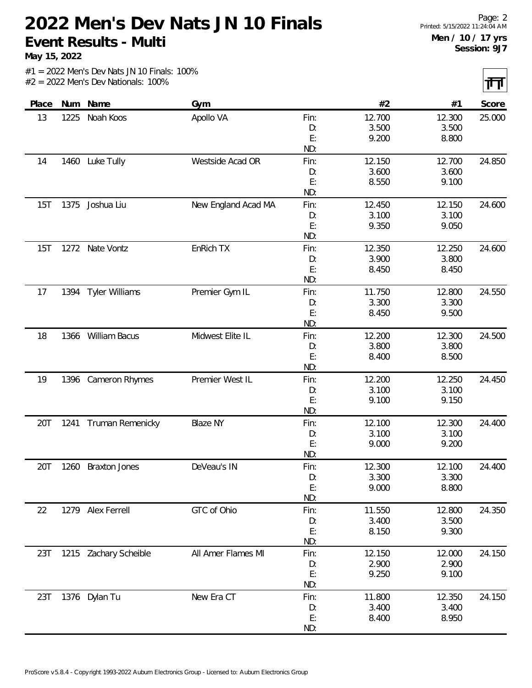**May 15, 2022**

त्ता

|  |  |  | $#1 = 2022$ Men's Dev Nats JN 10 Finals: 100% |  |
|--|--|--|-----------------------------------------------|--|
|  |  |  | $#2 = 2022$ Men's Dev Nationals: 100%         |  |

| Place |      | Num Name              | Gym                 |          | #2     | #1     | Score  |
|-------|------|-----------------------|---------------------|----------|--------|--------|--------|
| 13    | 1225 | Noah Koos             | Apollo VA           | Fin:     | 12.700 | 12.300 | 25.000 |
|       |      |                       |                     | D:       | 3.500  | 3.500  |        |
|       |      |                       |                     | E:       | 9.200  | 8.800  |        |
|       |      |                       |                     | ND:      |        |        |        |
| 14    |      | 1460 Luke Tully       | Westside Acad OR    | Fin:     | 12.150 | 12.700 | 24.850 |
|       |      |                       |                     | D:       | 3.600  | 3.600  |        |
|       |      |                       |                     | E:       | 8.550  | 9.100  |        |
|       |      |                       |                     | ND:      |        |        |        |
| 15T   | 1375 | Joshua Liu            | New England Acad MA | Fin:     | 12.450 | 12.150 | 24.600 |
|       |      |                       |                     | D:       | 3.100  | 3.100  |        |
|       |      |                       |                     | E:       | 9.350  | 9.050  |        |
|       |      |                       |                     | ND:      |        |        |        |
| 15T   | 1272 | Nate Vontz            | EnRich TX           | Fin:     | 12.350 | 12.250 | 24.600 |
|       |      |                       |                     | D:       | 3.900  | 3.800  |        |
|       |      |                       |                     | E:       | 8.450  | 8.450  |        |
|       |      |                       |                     | ND:      |        |        |        |
| 17    | 1394 | <b>Tyler Williams</b> | Premier Gym IL      | Fin:     | 11.750 | 12.800 | 24.550 |
|       |      |                       |                     | D:       | 3.300  | 3.300  |        |
|       |      |                       |                     | E:       | 8.450  | 9.500  |        |
|       |      |                       |                     | ND:      |        |        |        |
| 18    |      | 1366 William Bacus    | Midwest Elite IL    | Fin:     | 12.200 | 12.300 | 24.500 |
|       |      |                       |                     | D:       | 3.800  | 3.800  |        |
|       |      |                       |                     | E:       | 8.400  | 8.500  |        |
|       |      |                       |                     | ND:      |        |        |        |
| 19    | 1396 | Cameron Rhymes        | Premier West IL     | Fin:     | 12.200 | 12.250 | 24.450 |
|       |      |                       |                     | D:<br>E: | 3.100  | 3.100  |        |
|       |      |                       |                     | ND:      | 9.100  | 9.150  |        |
| 20T   | 1241 | Truman Remenicky      | <b>Blaze NY</b>     | Fin:     | 12.100 | 12.300 | 24.400 |
|       |      |                       |                     | D:       | 3.100  | 3.100  |        |
|       |      |                       |                     | E:       | 9.000  | 9.200  |        |
|       |      |                       |                     | ND:      |        |        |        |
| 20T   | 1260 | <b>Braxton Jones</b>  | DeVeau's IN         | Fin:     | 12.300 | 12.100 | 24.400 |
|       |      |                       |                     | D:       | 3.300  | 3.300  |        |
|       |      |                       |                     | E:       | 9.000  | 8.800  |        |
|       |      |                       |                     | ND:      |        |        |        |
| 22    |      | 1279 Alex Ferrell     | GTC of Ohio         | Fin:     | 11.550 | 12.800 | 24.350 |
|       |      |                       |                     | D:       | 3.400  | 3.500  |        |
|       |      |                       |                     | E:       | 8.150  | 9.300  |        |
|       |      |                       |                     | ND:      |        |        |        |
| 23T   |      | 1215 Zachary Scheible | All Amer Flames MI  | Fin:     | 12.150 | 12.000 | 24.150 |
|       |      |                       |                     | D:       | 2.900  | 2.900  |        |
|       |      |                       |                     | E:       | 9.250  | 9.100  |        |
|       |      |                       |                     | ND:      |        |        |        |
| 23T   |      | 1376 Dylan Tu         | New Era CT          | Fin:     | 11.800 | 12.350 | 24.150 |
|       |      |                       |                     | D:       | 3.400  | 3.400  |        |
|       |      |                       |                     | E:       | 8.400  | 8.950  |        |
|       |      |                       |                     | ND:      |        |        |        |
|       |      |                       |                     |          |        |        |        |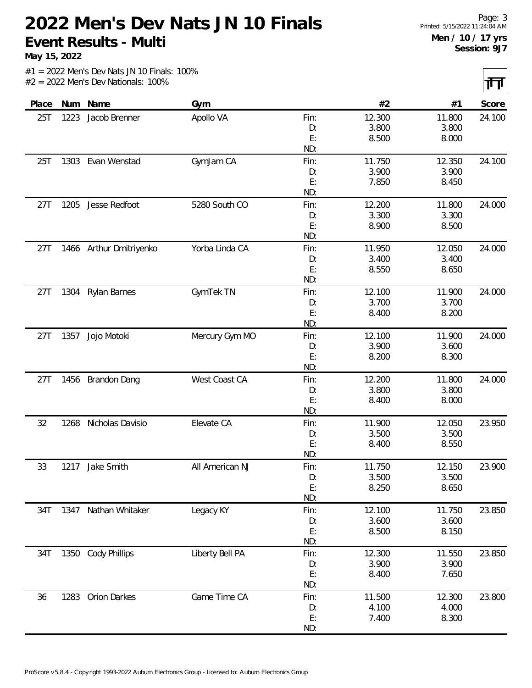**May 15, 2022**

 $|\mathbf{H}|$ 

|  |                                       |  | $#1 = 2022$ Men's Dev Nats JN 10 Finals: 100% |  |
|--|---------------------------------------|--|-----------------------------------------------|--|
|  | $#2 = 2022$ Men's Dev Nationals: 100% |  |                                               |  |

| Num<br>Place | Name                    | Gym             |      | #2     | #1     | Score  |
|--------------|-------------------------|-----------------|------|--------|--------|--------|
| 25T<br>1223  | Jacob Brenner           | Apollo VA       | Fin: | 12.300 | 11.800 | 24.100 |
|              |                         |                 | D:   | 3.800  | 3.800  |        |
|              |                         |                 | E:   | 8.500  | 8.000  |        |
|              |                         |                 | ND:  |        |        |        |
| 1303<br>25T  | Evan Wenstad            | GymJam CA       | Fin: | 11.750 | 12.350 | 24.100 |
|              |                         |                 | D:   | 3.900  | 3.900  |        |
|              |                         |                 | E:   | 7.850  | 8.450  |        |
|              |                         |                 | ND:  |        |        |        |
| 1205<br>27T  | Jesse Redfoot           | 5280 South CO   | Fin: | 12.200 | 11.800 | 24.000 |
|              |                         |                 | D:   | 3.300  | 3.300  |        |
|              |                         |                 | E:   | 8.900  | 8.500  |        |
|              |                         |                 | ND:  |        |        |        |
| 27T          | 1466 Arthur Dmitriyenko | Yorba Linda CA  | Fin: | 11.950 | 12.050 | 24.000 |
|              |                         |                 | D:   | 3.400  | 3.400  |        |
|              |                         |                 | E:   | 8.550  | 8.650  |        |
|              |                         |                 | ND:  |        |        |        |
| 27T<br>1304  | <b>Rylan Barnes</b>     | GymTek TN       | Fin: | 12.100 | 11.900 | 24.000 |
|              |                         |                 | D:   | 3.700  | 3.700  |        |
|              |                         |                 | E:   | 8.400  | 8.200  |        |
|              |                         |                 | ND:  |        |        |        |
| 27T<br>1357  | Jojo Motoki             | Mercury Gym MO  | Fin: | 12.100 | 11.900 | 24.000 |
|              |                         |                 | D:   | 3.900  | 3.600  |        |
|              |                         |                 | E:   | 8.200  | 8.300  |        |
|              |                         |                 | ND:  |        |        |        |
| 1456<br>27T  | <b>Brandon Dang</b>     | West Coast CA   | Fin: | 12.200 | 11.800 | 24.000 |
|              |                         |                 | D:   | 3.800  | 3.800  |        |
|              |                         |                 | E:   | 8.400  | 8.000  |        |
|              |                         |                 | ND:  |        |        |        |
| 32<br>1268   | Nicholas Davisio        | Elevate CA      | Fin: | 11.900 | 12.050 | 23.950 |
|              |                         |                 | D:   | 3.500  | 3.500  |        |
|              |                         |                 | E:   | 8.400  | 8.550  |        |
|              |                         |                 | ND:  |        |        |        |
| 33<br>1217   | Jake Smith              | All American NJ | Fin: | 11.750 | 12.150 | 23.900 |
|              |                         |                 | D:   | 3.500  | 3.500  |        |
|              |                         |                 | E:   | 8.250  | 8.650  |        |
|              |                         |                 | ND:  |        |        |        |
| 34T          | 1347 Nathan Whitaker    | Legacy KY       | Fin: | 12.100 | 11.750 | 23.850 |
|              |                         |                 | D:   | 3.600  | 3.600  |        |
|              |                         |                 | E:   | 8.500  | 8.150  |        |
|              |                         |                 | ND:  |        |        |        |
| 34T          | 1350 Cody Phillips      | Liberty Bell PA | Fin: | 12.300 | 11.550 | 23.850 |
|              |                         |                 | D:   | 3.900  | 3.900  |        |
|              |                         |                 | E:   | 8.400  | 7.650  |        |
|              |                         |                 | ND:  |        |        |        |
| 1283<br>36   | <b>Orion Darkes</b>     | Game Time CA    | Fin: | 11.500 | 12.300 | 23.800 |
|              |                         |                 | D:   | 4.100  | 4.000  |        |
|              |                         |                 | E:   | 7.400  | 8.300  |        |
|              |                         |                 | ND:  |        |        |        |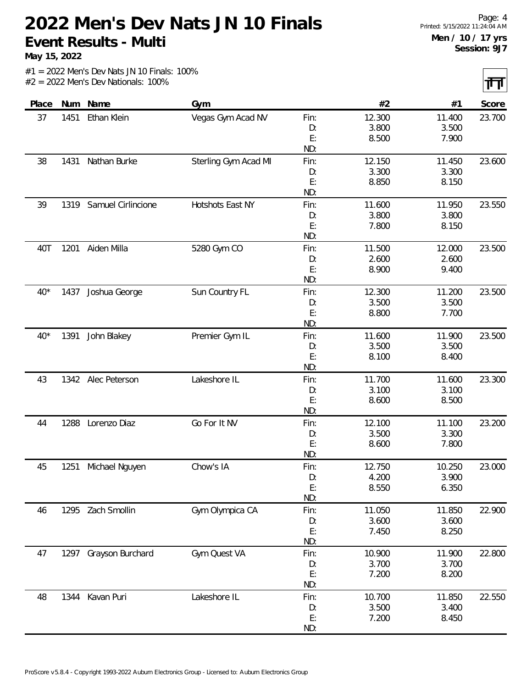**May 15, 2022**

 $|\mathbf{H}|$ 

| Place | Num  | Name                  | Gym                  |            | #2              | #1              | $\sim$ $\sim$<br>Score |
|-------|------|-----------------------|----------------------|------------|-----------------|-----------------|------------------------|
| 37    | 1451 | Ethan Klein           | Vegas Gym Acad NV    | Fin:       | 12.300          | 11.400          | 23.700                 |
|       |      |                       |                      | D:         | 3.800           | 3.500           |                        |
|       |      |                       |                      | E:         | 8.500           | 7.900           |                        |
|       |      |                       |                      | ND:        |                 |                 |                        |
| 38    | 1431 | Nathan Burke          | Sterling Gym Acad MI | Fin:       | 12.150          | 11.450          | 23.600                 |
|       |      |                       |                      | D:         | 3.300           | 3.300           |                        |
|       |      |                       |                      | E:         | 8.850           | 8.150           |                        |
|       |      |                       |                      | ND:        |                 |                 |                        |
| 39    | 1319 | Samuel Cirlincione    | Hotshots East NY     | Fin:       | 11.600          | 11.950          | 23.550                 |
|       |      |                       |                      | D:         | 3.800           | 3.800           |                        |
|       |      |                       |                      | E:         | 7.800           | 8.150           |                        |
|       |      |                       |                      | ND:        |                 |                 |                        |
| 40T   | 1201 | Aiden Milla           | 5280 Gym CO          | Fin:       | 11.500<br>2.600 | 12.000<br>2.600 | 23.500                 |
|       |      |                       |                      | D:<br>E:   | 8.900           | 9.400           |                        |
|       |      |                       |                      | ND:        |                 |                 |                        |
| $40*$ |      | 1437 Joshua George    | Sun Country FL       | Fin:       | 12.300          | 11.200          | 23.500                 |
|       |      |                       |                      | D:         | 3.500           | 3.500           |                        |
|       |      |                       |                      | E:         | 8.800           | 7.700           |                        |
|       |      |                       |                      | ND:        |                 |                 |                        |
| $40*$ | 1391 | John Blakey           | Premier Gym IL       | Fin:       | 11.600          | 11.900          | 23.500                 |
|       |      |                       |                      | D:         | 3.500           | 3.500           |                        |
|       |      |                       |                      | E:         | 8.100           | 8.400           |                        |
|       |      |                       |                      | ND:        |                 |                 |                        |
| 43    |      | 1342 Alec Peterson    | Lakeshore IL         | Fin:       | 11.700          | 11.600          | 23.300                 |
|       |      |                       |                      | D:         | 3.100           | 3.100           |                        |
|       |      |                       |                      | E:<br>ND:  | 8.600           | 8.500           |                        |
|       | 1288 | Lorenzo Diaz          | Go For It NV         |            |                 | 11.100          | 23.200                 |
| 44    |      |                       |                      | Fin:<br>D: | 12.100<br>3.500 | 3.300           |                        |
|       |      |                       |                      | E:         | 8.600           | 7.800           |                        |
|       |      |                       |                      | ND:        |                 |                 |                        |
| 45    | 1251 | Michael Nguyen        | Chow's IA            | Fin:       | 12.750          | 10.250          | 23.000                 |
|       |      |                       |                      | D:         | 4.200           | 3.900           |                        |
|       |      |                       |                      | E:         | 8.550           | 6.350           |                        |
|       |      |                       |                      | ND:        |                 |                 |                        |
| 46    |      | 1295 Zach Smollin     | Gym Olympica CA      | Fin:       | 11.050          | 11.850          | 22.900                 |
|       |      |                       |                      | D:         | 3.600           | 3.600           |                        |
|       |      |                       |                      | E:         | 7.450           | 8.250           |                        |
|       |      |                       |                      | ND:        |                 |                 |                        |
| 47    |      | 1297 Grayson Burchard | Gym Quest VA         | Fin:       | 10.900          | 11.900          | 22.800                 |
|       |      |                       |                      | D:         | 3.700           | 3.700           |                        |
|       |      |                       |                      | E:         | 7.200           | 8.200           |                        |
|       |      |                       |                      | ND:        |                 |                 |                        |
| 48    |      | 1344 Kavan Puri       | Lakeshore IL         | Fin:       | 10.700          | 11.850          | 22.550                 |
|       |      |                       |                      | D:<br>E:   | 3.500           | 3.400           |                        |
|       |      |                       |                      | ND:        | 7.200           | 8.450           |                        |
|       |      |                       |                      |            |                 |                 |                        |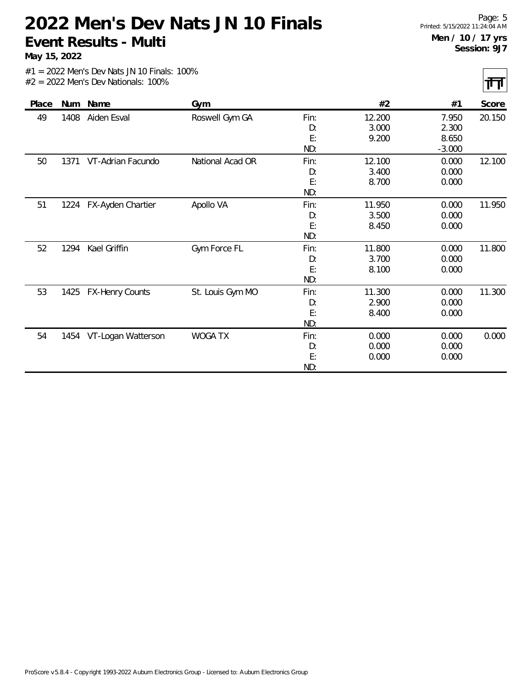**May 15, 2022**

त्तत्त

| Place | Num  | Name                   | Gym              |      | #2     | #1       | Score  |
|-------|------|------------------------|------------------|------|--------|----------|--------|
| 49    | 1408 | Aiden Esval            | Roswell Gym GA   | Fin: | 12.200 | 7.950    | 20.150 |
|       |      |                        |                  | D:   | 3.000  | 2.300    |        |
|       |      |                        |                  | E:   | 9.200  | 8.650    |        |
|       |      |                        |                  | ND:  |        | $-3.000$ |        |
| 50    | 1371 | VT-Adrian Facundo      | National Acad OR | Fin: | 12.100 | 0.000    | 12.100 |
|       |      |                        |                  | D:   | 3.400  | 0.000    |        |
|       |      |                        |                  | E:   | 8.700  | 0.000    |        |
|       |      |                        |                  | ND:  |        |          |        |
| 51    | 1224 | FX-Ayden Chartier      | Apollo VA        | Fin: | 11.950 | 0.000    | 11.950 |
|       |      |                        |                  | D:   | 3.500  | 0.000    |        |
|       |      |                        |                  | E:   | 8.450  | 0.000    |        |
|       |      |                        |                  | ND:  |        |          |        |
| 52    | 1294 | Kael Griffin           | Gym Force FL     | Fin: | 11.800 | 0.000    | 11.800 |
|       |      |                        |                  | D:   | 3.700  | 0.000    |        |
|       |      |                        |                  | E:   | 8.100  | 0.000    |        |
|       |      |                        |                  | ND:  |        |          |        |
| 53    | 1425 | <b>FX-Henry Counts</b> | St. Louis Gym MO | Fin: | 11.300 | 0.000    | 11.300 |
|       |      |                        |                  | D:   | 2.900  | 0.000    |        |
|       |      |                        |                  | E:   | 8.400  | 0.000    |        |
|       |      |                        |                  | ND:  |        |          |        |
| 54    | 1454 | VT-Logan Watterson     | <b>WOGA TX</b>   | Fin: | 0.000  | 0.000    | 0.000  |
|       |      |                        |                  | D:   | 0.000  | 0.000    |        |
|       |      |                        |                  | E:   | 0.000  | 0.000    |        |
|       |      |                        |                  | ND:  |        |          |        |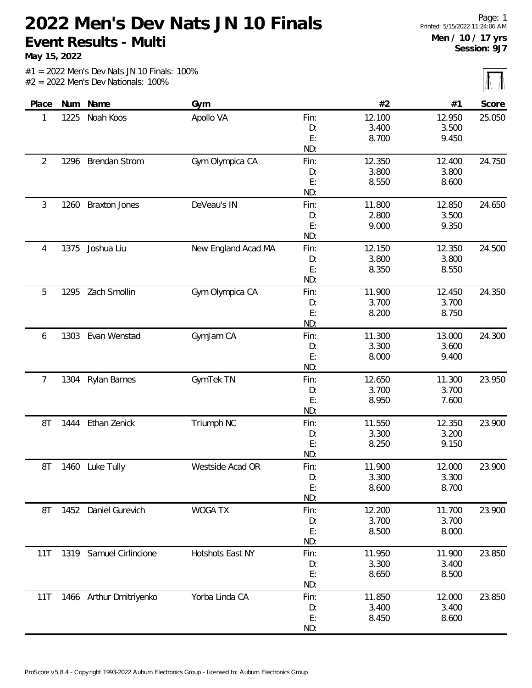**May 15, 2022**

 $\overline{\mathbb{L}}$ 

|       |      |                         |                     |            |                |                | $\frac{1}{2}$ |
|-------|------|-------------------------|---------------------|------------|----------------|----------------|---------------|
| Place | Num  | Name                    | Gym                 |            | #2             | #1             | Score         |
| 1     | 1225 | Noah Koos               | Apollo VA           | Fin:       | 12.100         | 12.950         | 25.050        |
|       |      |                         |                     | D:         | 3.400          | 3.500          |               |
|       |      |                         |                     | E:         | 8.700          | 9.450          |               |
|       |      |                         |                     | ND:        |                |                |               |
| 2     | 1296 | <b>Brendan Strom</b>    | Gym Olympica CA     | Fin:       | 12.350         | 12.400         | 24.750        |
|       |      |                         |                     | D:         | 3.800          | 3.800          |               |
|       |      |                         |                     | E:         | 8.550          | 8.600          |               |
|       |      |                         |                     | ND:        |                |                |               |
| 3     | 1260 | <b>Braxton Jones</b>    | DeVeau's IN         | Fin:       | 11.800         | 12.850         | 24.650        |
|       |      |                         |                     | D:         | 2.800          | 3.500          |               |
|       |      |                         |                     | E:         | 9.000          | 9.350          |               |
|       |      |                         |                     | ND:        |                |                |               |
| 4     | 1375 | Joshua Liu              | New England Acad MA | Fin:       | 12.150         | 12.350         | 24.500        |
|       |      |                         |                     | D:         | 3.800          | 3.800          |               |
|       |      |                         |                     | E:         | 8.350          | 8.550          |               |
|       |      |                         |                     | ND:        |                |                |               |
| 5     | 1295 | Zach Smollin            | Gym Olympica CA     | Fin:       | 11.900         | 12.450         | 24.350        |
|       |      |                         |                     | D:<br>E:   | 3.700<br>8.200 | 3.700<br>8.750 |               |
|       |      |                         |                     | ND:        |                |                |               |
|       |      | Evan Wenstad            |                     |            | 11.300         | 13.000         | 24.300        |
| 6     | 1303 |                         | GymJam CA           | Fin:<br>D: | 3.300          | 3.600          |               |
|       |      |                         |                     | E:         | 8.000          | 9.400          |               |
|       |      |                         |                     | ND:        |                |                |               |
| 7     | 1304 | Rylan Barnes            | GymTek TN           | Fin:       | 12.650         | 11.300         | 23.950        |
|       |      |                         |                     | D:         | 3.700          | 3.700          |               |
|       |      |                         |                     | E:         | 8.950          | 7.600          |               |
|       |      |                         |                     | ND:        |                |                |               |
| 8T    | 1444 | Ethan Zenick            | Triumph NC          | Fin:       | 11.550         | 12.350         | 23.900        |
|       |      |                         |                     | D:         | 3.300          | 3.200          |               |
|       |      |                         |                     | E:         | 8.250          | 9.150          |               |
|       |      |                         |                     | ND:        |                |                |               |
| 8T    | 1460 | Luke Tully              | Westside Acad OR    | Fin:       | 11.900         | 12.000         | 23.900        |
|       |      |                         |                     | D:         | 3.300          | 3.300          |               |
|       |      |                         |                     | E:         | 8.600          | 8.700          |               |
|       |      |                         |                     | ND:        |                |                |               |
| 8T    |      | 1452 Daniel Gurevich    | WOGA TX             | Fin:       | 12.200         | 11.700         | 23.900        |
|       |      |                         |                     | D:         | 3.700          | 3.700          |               |
|       |      |                         |                     | E:         | 8.500          | 8.000          |               |
|       |      |                         |                     | ND:        |                |                |               |
| 11T   |      | 1319 Samuel Cirlincione | Hotshots East NY    | Fin:       | 11.950         | 11.900         | 23.850        |
|       |      |                         |                     | D:         | 3.300          | 3.400          |               |
|       |      |                         |                     | E:         | 8.650          | 8.500          |               |
|       |      |                         |                     | ND:        |                |                |               |
| 11T   |      | 1466 Arthur Dmitriyenko | Yorba Linda CA      | Fin:       | 11.850         | 12.000         | 23.850        |
|       |      |                         |                     | D:         | 3.400          | 3.400          |               |
|       |      |                         |                     | E:         | 8.450          | 8.600          |               |
|       |      |                         |                     | ND:        |                |                |               |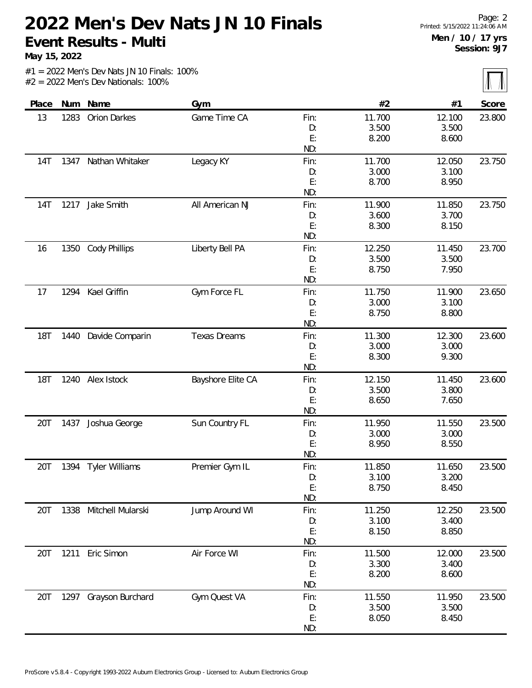**May 15, 2022**

 $|\sqrt{}$ 

|  |                                       |  | $#1 = 2022$ Men's Dev Nats JN 10 Finals: 100% |  |
|--|---------------------------------------|--|-----------------------------------------------|--|
|  | $#2 = 2022$ Men's Dev Nationals: 100% |  |                                               |  |

| Place      | Num  | Name                   | Gym                 |      | #2     | #1     | Score  |
|------------|------|------------------------|---------------------|------|--------|--------|--------|
| 13         | 1283 | Orion Darkes           | Game Time CA        | Fin: | 11.700 | 12.100 | 23.800 |
|            |      |                        |                     | D:   | 3.500  | 3.500  |        |
|            |      |                        |                     | E:   | 8.200  | 8.600  |        |
|            |      |                        |                     | ND:  |        |        |        |
| 14T        | 1347 | Nathan Whitaker        | Legacy KY           | Fin: | 11.700 | 12.050 | 23.750 |
|            |      |                        |                     | D:   | 3.000  | 3.100  |        |
|            |      |                        |                     | E:   | 8.700  | 8.950  |        |
|            |      |                        |                     | ND:  |        |        |        |
| 14T        | 1217 | Jake Smith             | All American NJ     | Fin: | 11.900 | 11.850 | 23.750 |
|            |      |                        |                     | D:   | 3.600  | 3.700  |        |
|            |      |                        |                     | E:   | 8.300  | 8.150  |        |
|            |      |                        |                     | ND:  |        |        |        |
| 16         | 1350 | <b>Cody Phillips</b>   | Liberty Bell PA     | Fin: | 12.250 | 11.450 | 23.700 |
|            |      |                        |                     | D:   | 3.500  | 3.500  |        |
|            |      |                        |                     | E:   | 8.750  | 7.950  |        |
|            |      |                        |                     | ND:  |        |        |        |
| 17         | 1294 | Kael Griffin           | Gym Force FL        | Fin: | 11.750 | 11.900 | 23.650 |
|            |      |                        |                     | D:   | 3.000  | 3.100  |        |
|            |      |                        |                     | E:   | 8.750  | 8.800  |        |
|            |      |                        |                     | ND:  |        |        |        |
| 18T        | 1440 | Davide Comparin        | <b>Texas Dreams</b> | Fin: | 11.300 | 12.300 | 23.600 |
|            |      |                        |                     | D:   | 3.000  | 3.000  |        |
|            |      |                        |                     | E:   | 8.300  | 9.300  |        |
|            |      |                        |                     | ND:  |        |        |        |
| <b>18T</b> |      | 1240 Alex Istock       | Bayshore Elite CA   | Fin: | 12.150 | 11.450 | 23.600 |
|            |      |                        |                     | D:   | 3.500  | 3.800  |        |
|            |      |                        |                     | E:   | 8.650  | 7.650  |        |
|            |      |                        |                     | ND:  |        |        |        |
| 20T        | 1437 | Joshua George          | Sun Country FL      | Fin: | 11.950 | 11.550 | 23.500 |
|            |      |                        |                     | D:   | 3.000  | 3.000  |        |
|            |      |                        |                     | E:   | 8.950  | 8.550  |        |
|            |      |                        |                     | ND:  |        |        |        |
| 20T        | 1394 | <b>Tyler Williams</b>  | Premier Gym IL      | Fin: | 11.850 | 11.650 | 23.500 |
|            |      |                        |                     | D:   | 3.100  | 3.200  |        |
|            |      |                        |                     | E:   | 8.750  | 8.450  |        |
|            |      |                        |                     | ND:  |        |        |        |
| 20T        |      | 1338 Mitchell Mularski | Jump Around WI      | Fin: | 11.250 | 12.250 | 23.500 |
|            |      |                        |                     | D:   | 3.100  | 3.400  |        |
|            |      |                        |                     | E:   | 8.150  | 8.850  |        |
|            |      |                        |                     | ND:  |        |        |        |
| 20T        | 1211 | Eric Simon             | Air Force WI        | Fin: | 11.500 | 12.000 | 23.500 |
|            |      |                        |                     | D:   | 3.300  | 3.400  |        |
|            |      |                        |                     | E:   | 8.200  | 8.600  |        |
|            |      |                        |                     | ND:  |        |        |        |
| 20T        |      | 1297 Grayson Burchard  | Gym Quest VA        | Fin: | 11.550 | 11.950 | 23.500 |
|            |      |                        |                     | D:   | 3.500  | 3.500  |        |
|            |      |                        |                     | E:   | 8.050  | 8.450  |        |
|            |      |                        |                     | ND:  |        |        |        |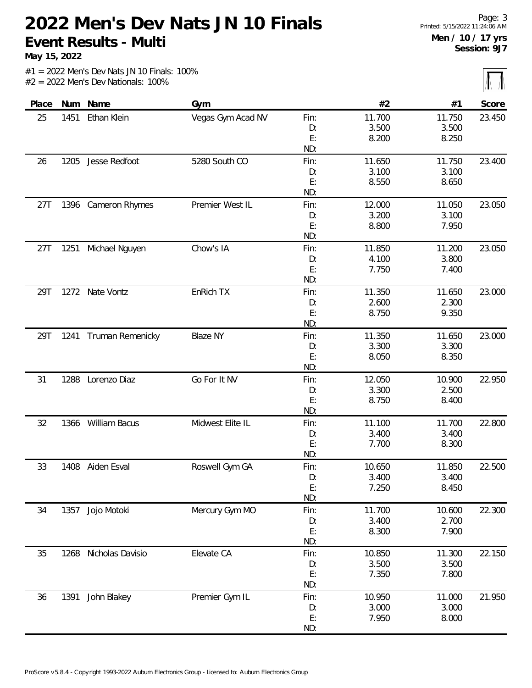**May 15, 2022**

 $\overline{\mathbb{M}}$ 

| Num Name<br>#2<br>Gym<br>#1<br>Place<br>Ethan Klein<br>Vegas Gym Acad NV<br>11.700<br>1451<br>Fin:<br>11.750<br>25<br>3.500<br>3.500<br>D:<br>E:<br>8.200<br>8.250<br>ND:<br>5280 South CO<br>Jesse Redfoot<br>11.650<br>11.750<br>1205<br>Fin:<br>26<br>3.100<br>3.100<br>D:<br>E:<br>8.550<br>8.650<br>ND:<br>1396<br>Premier West IL<br>Fin:<br>12.000<br>11.050<br>27T<br>Cameron Rhymes<br>3.200<br>3.100<br>D:<br>E:<br>7.950<br>8.800<br>ND:<br>Chow's IA<br>11.850<br>11.200<br>Michael Nguyen<br>Fin:<br>27T<br>1251<br>4.100<br>3.800<br>D:<br>E:<br>7.750<br>7.400<br>ND:<br>EnRich TX<br>29T<br>1272 Nate Vontz<br>11.350<br>11.650<br>Fin:<br>2.600<br>2.300<br>D:<br>E:<br>8.750<br>9.350<br>ND:<br><b>Blaze NY</b><br>11.350<br>29T<br>1241<br>Truman Remenicky<br>Fin:<br>11.650<br>3.300<br>3.300<br>D:<br>E:<br>8.050<br>8.350<br>ND:<br>Lorenzo Diaz<br>Go For It NV<br>31<br>1288<br>Fin:<br>12.050<br>10.900<br>3.300<br>2.500<br>D:<br>E:<br>8.750<br>8.400<br>ND:<br>William Bacus<br>Midwest Elite IL<br>32<br>1366<br>11.100<br>11.700<br>Fin:<br>3.400<br>3.400<br>D:<br>E:<br>8.300<br>7.700<br>ND:<br>Roswell Gym GA<br>10.650<br>11.850<br>33<br>1408<br>Aiden Esval<br>Fin:<br>3.400<br>3.400<br>D:<br>E:<br>7.250<br>8.450<br>ND:<br>Mercury Gym MO<br>1357 Jojo Motoki<br>11.700<br>10.600<br>34<br>Fin:<br>3.400<br>2.700<br>D: |    |  |  |  | $(11 - 11)$ |
|------------------------------------------------------------------------------------------------------------------------------------------------------------------------------------------------------------------------------------------------------------------------------------------------------------------------------------------------------------------------------------------------------------------------------------------------------------------------------------------------------------------------------------------------------------------------------------------------------------------------------------------------------------------------------------------------------------------------------------------------------------------------------------------------------------------------------------------------------------------------------------------------------------------------------------------------------------------------------------------------------------------------------------------------------------------------------------------------------------------------------------------------------------------------------------------------------------------------------------------------------------------------------------------------------------------------------------------------------------------|----|--|--|--|-------------|
|                                                                                                                                                                                                                                                                                                                                                                                                                                                                                                                                                                                                                                                                                                                                                                                                                                                                                                                                                                                                                                                                                                                                                                                                                                                                                                                                                                  |    |  |  |  | Score       |
|                                                                                                                                                                                                                                                                                                                                                                                                                                                                                                                                                                                                                                                                                                                                                                                                                                                                                                                                                                                                                                                                                                                                                                                                                                                                                                                                                                  |    |  |  |  | 23.450      |
|                                                                                                                                                                                                                                                                                                                                                                                                                                                                                                                                                                                                                                                                                                                                                                                                                                                                                                                                                                                                                                                                                                                                                                                                                                                                                                                                                                  |    |  |  |  |             |
|                                                                                                                                                                                                                                                                                                                                                                                                                                                                                                                                                                                                                                                                                                                                                                                                                                                                                                                                                                                                                                                                                                                                                                                                                                                                                                                                                                  |    |  |  |  |             |
|                                                                                                                                                                                                                                                                                                                                                                                                                                                                                                                                                                                                                                                                                                                                                                                                                                                                                                                                                                                                                                                                                                                                                                                                                                                                                                                                                                  |    |  |  |  |             |
|                                                                                                                                                                                                                                                                                                                                                                                                                                                                                                                                                                                                                                                                                                                                                                                                                                                                                                                                                                                                                                                                                                                                                                                                                                                                                                                                                                  |    |  |  |  | 23.400      |
|                                                                                                                                                                                                                                                                                                                                                                                                                                                                                                                                                                                                                                                                                                                                                                                                                                                                                                                                                                                                                                                                                                                                                                                                                                                                                                                                                                  |    |  |  |  |             |
|                                                                                                                                                                                                                                                                                                                                                                                                                                                                                                                                                                                                                                                                                                                                                                                                                                                                                                                                                                                                                                                                                                                                                                                                                                                                                                                                                                  |    |  |  |  |             |
|                                                                                                                                                                                                                                                                                                                                                                                                                                                                                                                                                                                                                                                                                                                                                                                                                                                                                                                                                                                                                                                                                                                                                                                                                                                                                                                                                                  |    |  |  |  |             |
|                                                                                                                                                                                                                                                                                                                                                                                                                                                                                                                                                                                                                                                                                                                                                                                                                                                                                                                                                                                                                                                                                                                                                                                                                                                                                                                                                                  |    |  |  |  | 23.050      |
|                                                                                                                                                                                                                                                                                                                                                                                                                                                                                                                                                                                                                                                                                                                                                                                                                                                                                                                                                                                                                                                                                                                                                                                                                                                                                                                                                                  |    |  |  |  |             |
|                                                                                                                                                                                                                                                                                                                                                                                                                                                                                                                                                                                                                                                                                                                                                                                                                                                                                                                                                                                                                                                                                                                                                                                                                                                                                                                                                                  |    |  |  |  |             |
|                                                                                                                                                                                                                                                                                                                                                                                                                                                                                                                                                                                                                                                                                                                                                                                                                                                                                                                                                                                                                                                                                                                                                                                                                                                                                                                                                                  |    |  |  |  |             |
|                                                                                                                                                                                                                                                                                                                                                                                                                                                                                                                                                                                                                                                                                                                                                                                                                                                                                                                                                                                                                                                                                                                                                                                                                                                                                                                                                                  |    |  |  |  | 23.050      |
|                                                                                                                                                                                                                                                                                                                                                                                                                                                                                                                                                                                                                                                                                                                                                                                                                                                                                                                                                                                                                                                                                                                                                                                                                                                                                                                                                                  |    |  |  |  |             |
|                                                                                                                                                                                                                                                                                                                                                                                                                                                                                                                                                                                                                                                                                                                                                                                                                                                                                                                                                                                                                                                                                                                                                                                                                                                                                                                                                                  |    |  |  |  |             |
|                                                                                                                                                                                                                                                                                                                                                                                                                                                                                                                                                                                                                                                                                                                                                                                                                                                                                                                                                                                                                                                                                                                                                                                                                                                                                                                                                                  |    |  |  |  |             |
|                                                                                                                                                                                                                                                                                                                                                                                                                                                                                                                                                                                                                                                                                                                                                                                                                                                                                                                                                                                                                                                                                                                                                                                                                                                                                                                                                                  |    |  |  |  | 23.000      |
|                                                                                                                                                                                                                                                                                                                                                                                                                                                                                                                                                                                                                                                                                                                                                                                                                                                                                                                                                                                                                                                                                                                                                                                                                                                                                                                                                                  |    |  |  |  |             |
|                                                                                                                                                                                                                                                                                                                                                                                                                                                                                                                                                                                                                                                                                                                                                                                                                                                                                                                                                                                                                                                                                                                                                                                                                                                                                                                                                                  |    |  |  |  |             |
|                                                                                                                                                                                                                                                                                                                                                                                                                                                                                                                                                                                                                                                                                                                                                                                                                                                                                                                                                                                                                                                                                                                                                                                                                                                                                                                                                                  |    |  |  |  |             |
|                                                                                                                                                                                                                                                                                                                                                                                                                                                                                                                                                                                                                                                                                                                                                                                                                                                                                                                                                                                                                                                                                                                                                                                                                                                                                                                                                                  |    |  |  |  | 23.000      |
|                                                                                                                                                                                                                                                                                                                                                                                                                                                                                                                                                                                                                                                                                                                                                                                                                                                                                                                                                                                                                                                                                                                                                                                                                                                                                                                                                                  |    |  |  |  |             |
|                                                                                                                                                                                                                                                                                                                                                                                                                                                                                                                                                                                                                                                                                                                                                                                                                                                                                                                                                                                                                                                                                                                                                                                                                                                                                                                                                                  |    |  |  |  |             |
|                                                                                                                                                                                                                                                                                                                                                                                                                                                                                                                                                                                                                                                                                                                                                                                                                                                                                                                                                                                                                                                                                                                                                                                                                                                                                                                                                                  |    |  |  |  |             |
|                                                                                                                                                                                                                                                                                                                                                                                                                                                                                                                                                                                                                                                                                                                                                                                                                                                                                                                                                                                                                                                                                                                                                                                                                                                                                                                                                                  |    |  |  |  | 22.950      |
|                                                                                                                                                                                                                                                                                                                                                                                                                                                                                                                                                                                                                                                                                                                                                                                                                                                                                                                                                                                                                                                                                                                                                                                                                                                                                                                                                                  |    |  |  |  |             |
|                                                                                                                                                                                                                                                                                                                                                                                                                                                                                                                                                                                                                                                                                                                                                                                                                                                                                                                                                                                                                                                                                                                                                                                                                                                                                                                                                                  |    |  |  |  |             |
|                                                                                                                                                                                                                                                                                                                                                                                                                                                                                                                                                                                                                                                                                                                                                                                                                                                                                                                                                                                                                                                                                                                                                                                                                                                                                                                                                                  |    |  |  |  |             |
|                                                                                                                                                                                                                                                                                                                                                                                                                                                                                                                                                                                                                                                                                                                                                                                                                                                                                                                                                                                                                                                                                                                                                                                                                                                                                                                                                                  |    |  |  |  | 22.800      |
|                                                                                                                                                                                                                                                                                                                                                                                                                                                                                                                                                                                                                                                                                                                                                                                                                                                                                                                                                                                                                                                                                                                                                                                                                                                                                                                                                                  |    |  |  |  |             |
|                                                                                                                                                                                                                                                                                                                                                                                                                                                                                                                                                                                                                                                                                                                                                                                                                                                                                                                                                                                                                                                                                                                                                                                                                                                                                                                                                                  |    |  |  |  |             |
|                                                                                                                                                                                                                                                                                                                                                                                                                                                                                                                                                                                                                                                                                                                                                                                                                                                                                                                                                                                                                                                                                                                                                                                                                                                                                                                                                                  |    |  |  |  |             |
|                                                                                                                                                                                                                                                                                                                                                                                                                                                                                                                                                                                                                                                                                                                                                                                                                                                                                                                                                                                                                                                                                                                                                                                                                                                                                                                                                                  |    |  |  |  | 22.500      |
|                                                                                                                                                                                                                                                                                                                                                                                                                                                                                                                                                                                                                                                                                                                                                                                                                                                                                                                                                                                                                                                                                                                                                                                                                                                                                                                                                                  |    |  |  |  |             |
|                                                                                                                                                                                                                                                                                                                                                                                                                                                                                                                                                                                                                                                                                                                                                                                                                                                                                                                                                                                                                                                                                                                                                                                                                                                                                                                                                                  |    |  |  |  |             |
|                                                                                                                                                                                                                                                                                                                                                                                                                                                                                                                                                                                                                                                                                                                                                                                                                                                                                                                                                                                                                                                                                                                                                                                                                                                                                                                                                                  |    |  |  |  |             |
|                                                                                                                                                                                                                                                                                                                                                                                                                                                                                                                                                                                                                                                                                                                                                                                                                                                                                                                                                                                                                                                                                                                                                                                                                                                                                                                                                                  | 35 |  |  |  | 22.300      |
|                                                                                                                                                                                                                                                                                                                                                                                                                                                                                                                                                                                                                                                                                                                                                                                                                                                                                                                                                                                                                                                                                                                                                                                                                                                                                                                                                                  |    |  |  |  |             |
| E:<br>8.300<br>7.900                                                                                                                                                                                                                                                                                                                                                                                                                                                                                                                                                                                                                                                                                                                                                                                                                                                                                                                                                                                                                                                                                                                                                                                                                                                                                                                                             |    |  |  |  |             |
| ND:                                                                                                                                                                                                                                                                                                                                                                                                                                                                                                                                                                                                                                                                                                                                                                                                                                                                                                                                                                                                                                                                                                                                                                                                                                                                                                                                                              |    |  |  |  |             |
| 1268<br>Nicholas Davisio<br>Elevate CA<br>10.850<br>11.300<br>Fin:                                                                                                                                                                                                                                                                                                                                                                                                                                                                                                                                                                                                                                                                                                                                                                                                                                                                                                                                                                                                                                                                                                                                                                                                                                                                                               |    |  |  |  | 22.150      |
| 3.500<br>3.500<br>D:                                                                                                                                                                                                                                                                                                                                                                                                                                                                                                                                                                                                                                                                                                                                                                                                                                                                                                                                                                                                                                                                                                                                                                                                                                                                                                                                             |    |  |  |  |             |
| E:<br>7.800<br>7.350                                                                                                                                                                                                                                                                                                                                                                                                                                                                                                                                                                                                                                                                                                                                                                                                                                                                                                                                                                                                                                                                                                                                                                                                                                                                                                                                             |    |  |  |  |             |
| ND:                                                                                                                                                                                                                                                                                                                                                                                                                                                                                                                                                                                                                                                                                                                                                                                                                                                                                                                                                                                                                                                                                                                                                                                                                                                                                                                                                              |    |  |  |  |             |
| Premier Gym IL<br>1391<br>John Blakey<br>10.950<br>11.000<br>36<br>Fin:                                                                                                                                                                                                                                                                                                                                                                                                                                                                                                                                                                                                                                                                                                                                                                                                                                                                                                                                                                                                                                                                                                                                                                                                                                                                                          |    |  |  |  | 21.950      |
| 3.000<br>3.000<br>D:                                                                                                                                                                                                                                                                                                                                                                                                                                                                                                                                                                                                                                                                                                                                                                                                                                                                                                                                                                                                                                                                                                                                                                                                                                                                                                                                             |    |  |  |  |             |
| E:<br>7.950<br>8.000                                                                                                                                                                                                                                                                                                                                                                                                                                                                                                                                                                                                                                                                                                                                                                                                                                                                                                                                                                                                                                                                                                                                                                                                                                                                                                                                             |    |  |  |  |             |
| ND:                                                                                                                                                                                                                                                                                                                                                                                                                                                                                                                                                                                                                                                                                                                                                                                                                                                                                                                                                                                                                                                                                                                                                                                                                                                                                                                                                              |    |  |  |  |             |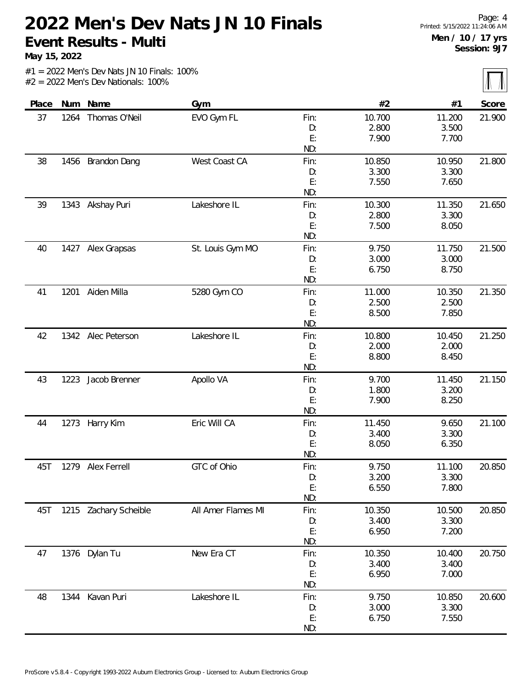**May 15, 2022**

 $\overline{\mathbb{L}}$ 

|       |      |                       |                    |          |                 |                 | $\frac{1}{2}$ |
|-------|------|-----------------------|--------------------|----------|-----------------|-----------------|---------------|
| Place | Num  | Name                  | Gym                |          | #2              | #1              | Score         |
| 37    | 1264 | Thomas O'Neil         | EVO Gym FL         | Fin:     | 10.700          | 11.200          | 21.900        |
|       |      |                       |                    | D:       | 2.800           | 3.500           |               |
|       |      |                       |                    | E:       | 7.900           | 7.700           |               |
|       |      |                       |                    | ND:      |                 |                 |               |
| 38    | 1456 | <b>Brandon Dang</b>   | West Coast CA      | Fin:     | 10.850          | 10.950          | 21.800        |
|       |      |                       |                    | D:       | 3.300           | 3.300           |               |
|       |      |                       |                    | E:       | 7.550           | 7.650           |               |
|       |      |                       |                    | ND:      |                 |                 |               |
| 39    |      | 1343 Akshay Puri      | Lakeshore IL       | Fin:     | 10.300          | 11.350          | 21.650        |
|       |      |                       |                    | D:       | 2.800           | 3.300           |               |
|       |      |                       |                    | E:       | 7.500           | 8.050           |               |
|       |      |                       |                    | ND:      |                 |                 |               |
| 40    |      | 1427 Alex Grapsas     | St. Louis Gym MO   | Fin:     | 9.750           | 11.750          | 21.500        |
|       |      |                       |                    | D:       | 3.000           | 3.000           |               |
|       |      |                       |                    | E:       | 6.750           | 8.750           |               |
|       |      |                       |                    | ND:      |                 |                 |               |
| 41    | 1201 | Aiden Milla           | 5280 Gym CO        | Fin:     | 11.000          | 10.350          | 21.350        |
|       |      |                       |                    | D:<br>E: | 2.500<br>8.500  | 2.500<br>7.850  |               |
|       |      |                       |                    | ND:      |                 |                 |               |
|       |      |                       |                    |          |                 |                 |               |
| 42    |      | 1342 Alec Peterson    | Lakeshore IL       | Fin:     | 10.800<br>2.000 | 10.450<br>2.000 | 21.250        |
|       |      |                       |                    | D:<br>E: | 8.800           | 8.450           |               |
|       |      |                       |                    | ND:      |                 |                 |               |
| 43    | 1223 | Jacob Brenner         | Apollo VA          | Fin:     | 9.700           | 11.450          | 21.150        |
|       |      |                       |                    | D:       | 1.800           | 3.200           |               |
|       |      |                       |                    | E:       | 7.900           | 8.250           |               |
|       |      |                       |                    | ND:      |                 |                 |               |
| 44    |      | 1273 Harry Kim        | Eric Will CA       | Fin:     | 11.450          | 9.650           | 21.100        |
|       |      |                       |                    | D:       | 3.400           | 3.300           |               |
|       |      |                       |                    | E:       | 8.050           | 6.350           |               |
|       |      |                       |                    | ND:      |                 |                 |               |
| 45T   |      | 1279 Alex Ferrell     | GTC of Ohio        | Fin:     | 9.750           | 11.100          | 20.850        |
|       |      |                       |                    | D:       | 3.200           | 3.300           |               |
|       |      |                       |                    | E:       | 6.550           | 7.800           |               |
|       |      |                       |                    | ND:      |                 |                 |               |
| 45T   |      | 1215 Zachary Scheible | All Amer Flames MI | Fin:     | 10.350          | 10.500          | 20.850        |
|       |      |                       |                    | D:       | 3.400           | 3.300           |               |
|       |      |                       |                    | E:       | 6.950           | 7.200           |               |
|       |      |                       |                    | ND:      |                 |                 |               |
| 47    |      | 1376 Dylan Tu         | New Era CT         | Fin:     | 10.350          | 10.400          | 20.750        |
|       |      |                       |                    | D:       | 3.400           | 3.400           |               |
|       |      |                       |                    | E:       | 6.950           | 7.000           |               |
|       |      |                       |                    | ND:      |                 |                 |               |
| 48    |      | 1344 Kavan Puri       | Lakeshore IL       | Fin:     | 9.750           | 10.850          | 20.600        |
|       |      |                       |                    | D:       | 3.000           | 3.300           |               |
|       |      |                       |                    | E:       | 6.750           | 7.550           |               |
|       |      |                       |                    | ND:      |                 |                 |               |